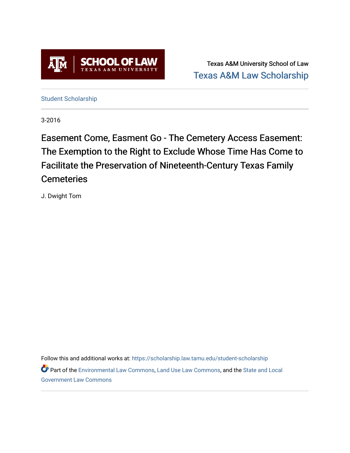

Texas A&M University School of Law [Texas A&M Law Scholarship](https://scholarship.law.tamu.edu/) 

[Student Scholarship](https://scholarship.law.tamu.edu/student-scholarship)

3-2016

Easement Come, Easment Go - The Cemetery Access Easement: The Exemption to the Right to Exclude Whose Time Has Come to Facilitate the Preservation of Nineteenth-Century Texas Family **Cemeteries** 

J. Dwight Tom

Follow this and additional works at: [https://scholarship.law.tamu.edu/student-scholarship](https://scholarship.law.tamu.edu/student-scholarship?utm_source=scholarship.law.tamu.edu%2Fstudent-scholarship%2F32&utm_medium=PDF&utm_campaign=PDFCoverPages) 

Part of the [Environmental Law Commons](https://network.bepress.com/hgg/discipline/599?utm_source=scholarship.law.tamu.edu%2Fstudent-scholarship%2F32&utm_medium=PDF&utm_campaign=PDFCoverPages), [Land Use Law Commons,](https://network.bepress.com/hgg/discipline/852?utm_source=scholarship.law.tamu.edu%2Fstudent-scholarship%2F32&utm_medium=PDF&utm_campaign=PDFCoverPages) and the [State and Local](https://network.bepress.com/hgg/discipline/879?utm_source=scholarship.law.tamu.edu%2Fstudent-scholarship%2F32&utm_medium=PDF&utm_campaign=PDFCoverPages)  [Government Law Commons](https://network.bepress.com/hgg/discipline/879?utm_source=scholarship.law.tamu.edu%2Fstudent-scholarship%2F32&utm_medium=PDF&utm_campaign=PDFCoverPages)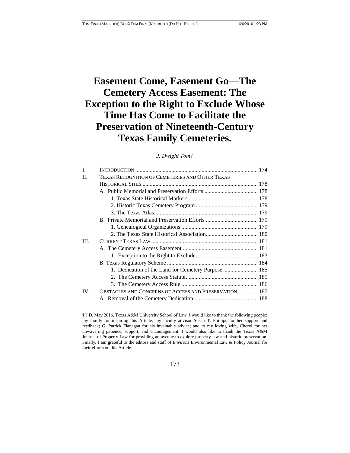# **Easement Come, Easement Go—The Cemetery Access Easement: The Exception to the Right to Exclude Whose Time Has Come to Facilitate the Preservation of Nineteenth-Century Texas Family Cemeteries.**

# *J. Dwight Tom†*

| L    |                                                        |  |
|------|--------------------------------------------------------|--|
| Н.   | TEXAS RECOGNITION OF CEMETERIES AND OTHER TEXAS        |  |
|      |                                                        |  |
|      |                                                        |  |
|      |                                                        |  |
|      |                                                        |  |
|      |                                                        |  |
|      |                                                        |  |
|      |                                                        |  |
|      |                                                        |  |
| III. |                                                        |  |
|      |                                                        |  |
|      |                                                        |  |
|      |                                                        |  |
|      | 1. Dedication of the Land for Cemetery Purpose  185    |  |
|      |                                                        |  |
|      |                                                        |  |
| IV.  | OBSTACLES AND CONCERNS OF ACCESS AND PRESERVATION  187 |  |
|      |                                                        |  |
|      |                                                        |  |

# 173

<sup>†</sup> J.D. May 2016, Texas A&M University School of Law. I would like to thank the following people: my family for inspiring this Article; my faculty advisor Susan T. Phillips for her support and feedback; G. Patrick Flanagan for his invaluable advice; and to my loving wife, Cheryl for her unwavering patience, support, and encouragement. I would also like to thank the Texas A&M Journal of Property Law for providing an avenue to explore property law and historic preservation. Finally, I am grateful to the editors and staff of *Environs* Environmental Law & Policy Journal for their efforts on this Article.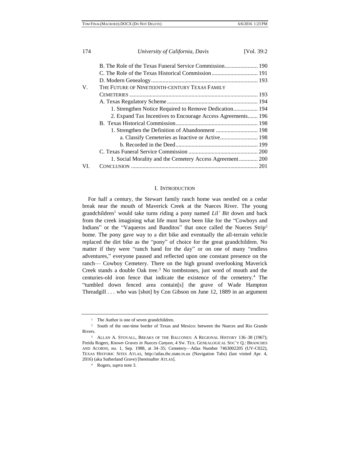| 174 | University of California, Davis                             | [Vol. 39:2] |
|-----|-------------------------------------------------------------|-------------|
|     |                                                             |             |
|     |                                                             |             |
|     |                                                             |             |
| V.  | THE FUTURE OF NINETEENTH-CENTURY TEXAS FAMILY               |             |
|     |                                                             |             |
|     |                                                             |             |
|     | 1. Strengthen Notice Required to Remove Dedication 194      |             |
|     | 2. Expand Tax Incentives to Encourage Access Agreements 196 |             |
|     |                                                             |             |
|     | 1. Strengthen the Definition of Abandonment  198            |             |
|     |                                                             |             |
|     |                                                             |             |
|     |                                                             |             |
|     | 1. Social Morality and the Cemetery Access Agreement  200   |             |
| VT. |                                                             |             |

#### I. INTRODUCTION

For half a century, the Stewart family ranch home was nestled on a cedar break near the mouth of Maverick Creek at the Nueces River. The young grandchildren<sup>1</sup> would take turns riding a pony named *Lil' Bit* down and back from the creek imagining what life must have been like for the "Cowboys and Indians" or the "Vaqueros and Banditos" that once called the Nueces Strip<sup>2</sup> home. The pony gave way to a dirt bike and eventually the all-terrain vehicle replaced the dirt bike as the "pony" of choice for the great grandchildren. No matter if they were "ranch hand for the day" or on one of many "endless" adventures," everyone paused and reflected upon one constant presence on the ranch— Cowboy Cemetery. There on the high ground overlooking Maverick Creek stands a double Oak tree.<sup>3</sup> No tombstones, just word of mouth and the centuries-old iron fence that indicate the existence of the cemetery.<sup>4</sup> The "tumbled down fenced area contain[s] the grave of Wade Hampton Threadgill . . . who was [shot] by Con Gibson on June 12, 1889 in an argument

<sup>&</sup>lt;sup>1</sup> The Author is one of seven grandchildren.

<sup>2</sup> South of the one-time border of Texas and Mexico: between the Nueces and Rio Grande Rivers.

<sup>&</sup>lt;sup>3</sup> ALLAN A. STOVALL, BREAKS OF THE BALCONES: A REGIONAL HISTORY 136-38 (1967); Freida Rogers, *Known Graves in Nueces Canyon*, 4 SW. TEX. GENEALOGICAL SOC'Y Q.: BRANCHES AND ACORNS, no. 1, Sep. 1988, at 34–35; Cemetery—Atlas Number 7463002205 (UV-C022), TEXAS HISTORIC SITES ATLAS, http://atlas.thc.state.tx.us (Navigation Tabs) (last visited Apr. 4, 2016) (aka Sutherland Grave) [hereinafter ATLAS].

<sup>4</sup> Rogers, *supra* note 3.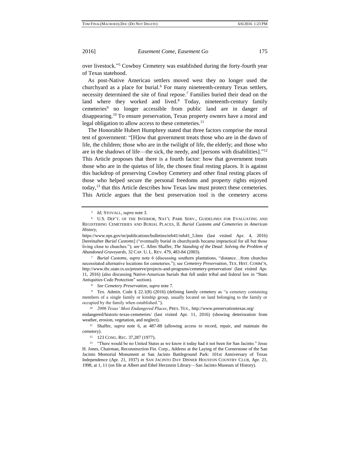over livestock." <sup>5</sup> Cowboy Cemetery was established during the forty-fourth year of Texas statehood.

As post-Native American settlers moved west they no longer used the churchyard as a place for burial.<sup>6</sup> For many nineteenth-century Texas settlers, necessity determined the site of final repose.<sup>7</sup> Families buried their dead on the land where they worked and lived.<sup>8</sup> Today, nineteenth-century family cemeteries<sup>9</sup> no longer accessible from public land are in danger of disappearing.<sup>10</sup> To ensure preservation, Texas property owners have a moral and legal obligation to allow access to these cemeteries.<sup>11</sup>

The Honorable Hubert Humphrey stated that three factors comprise the moral test of government: "[H]ow that government treats those who are in the dawn of life, the children; those who are in the twilight of life, the elderly; and those who are in the shadows of life—the sick, the needy, and [persons with disabilities]."<sup>12</sup> This Article proposes that there is a fourth factor: how that government treats those who are in the quietus of life, the chosen final resting places. It is against this backdrop of preserving Cowboy Cemetery and other final resting places of those who helped secure the personal freedoms and property rights enjoyed today,<sup>13</sup> that this Article describes how Texas law must protect these cemeteries. This Article argues that the best preservation tool is the cemetery access

<sup>8</sup> *See Cemetery Preservation*, *supra* note 7.

<sup>9</sup> Tex. Admin. Code § 22.1(8) (2016) (defining family cemetery as "a cemetery containing members of a single family or kinship group, usually located on land belonging to the family or occupied by the family when established.").

<sup>10</sup> *2006 Texas' Most Endangered Places*, PRES. TEX., http://www.preservationtexas.org/

endangered/historic-texas-cemeteries/ (last visited Apr. 11, 2016) (showing deterioration from weather, erosion, vegetation, and neglect).

<sup>11</sup> Shaffer, *supra* note 6, at 487-88 (allowing access to record, repair, and maintain the cemetery).

<sup>12</sup> 123 CONG. REC. 37,287 (1977).

<sup>13</sup> "There would be no United States as we know it today had it not been for San Jacinto." Jesse H. Jones, Chairman, Reconstruction Fin. Corp., Address at the Laying of the Cornerstone of the San Jacinto Memorial Monument at San Jacinto Battleground Park: 101st Anniversary of Texas Independence (Apr. 21, 1937) *in* SAN JACINTO DAY DINNER HOUSTON COUNTRY CLUB, Apr. 21, 1998, at 1, 11 (on file at Albert and Ethel Herzstein Library—San Jacinto Museum of History).

<sup>5</sup> *Id;* STOVALL, *supra* note 3.

<sup>6</sup> U.S. DEP'T. OF THE INTERIOR, NAT'L PARK SERV., GUIDELINES FOR EVALUATING AND REGISTERING CEMETERIES AND BURIAL PLACES, II. *Burial Customs and Cemeteries in American History*,

https://www.nps.gov/nr/publications/bulletins/nrb41/nrb41\_5.htm (last visited Apr. 4, 2016) [hereinafter *Burial Customs*] ("eventually burial in churchyards became impractical for all but those living close to churches."); *see* C. Allen Shaffer, *The Standing of the Dead: Solving the Problem of Abandoned Graveyards*, 32 CAP. U. L. REV. 479, 483-84 (2003).

<sup>7</sup> *Burial Customs*, *supra* note 6 (discussing southern plantations, "distance…from churches necessitated alternative locations for cemeteries."); see *Cemetery Preservation*, TEX. HIST. COMM'N, http://www.thc.state.tx.us/preserve/projects-and-programs/cemetery-preservation/ (last visited Apr. 11, 2016) (also discussing Native-American burials that fall under tribal and federal law in "State Antiquities Code Protection" section).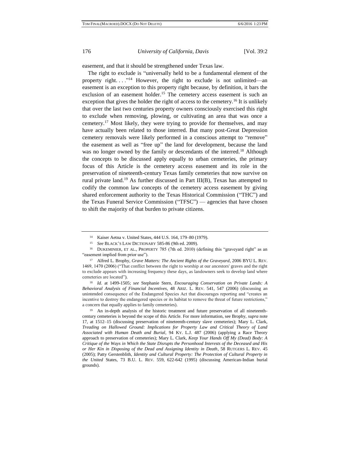easement, and that it should be strengthened under Texas law.

The right to exclude is "universally held to be a fundamental element of the property right...."<sup>14</sup> However, the right to exclude is not unlimited—an easement is an exception to this property right because, by definition, it bars the exclusion of an easement holder.<sup>15</sup> The cemetery access easement is such an exception that gives the holder the right of access to the cemetery.<sup>16</sup> It is unlikely that over the last two centuries property owners consciously exercised this right to exclude when removing, plowing, or cultivating an area that was once a cemetery.<sup>17</sup> Most likely, they were trying to provide for themselves, and may have actually been related to those interred. But many post-Great Depression cemetery removals were likely performed in a conscious attempt to "remove" the easement as well as "free up" the land for development, because the land was no longer owned by the family or descendants of the interred.<sup>18</sup> Although the concepts to be discussed apply equally to urban cemeteries, the primary focus of this Article is the cemetery access easement and its role in the preservation of nineteenth-century Texas family cemeteries that now survive on rural private land.<sup>19</sup> As further discussed in Part III(B), Texas has attempted to codify the common law concepts of the cemetery access easement by giving shared enforcement authority to the Texas Historical Commission ("THC") and the Texas Funeral Service Commission ("TFSC") — agencies that have chosen to shift the majority of that burden to private citizens.

<sup>14</sup> Kaiser Aetna v. United States, 444 U.S. 164, 179–80 (1979).

<sup>15</sup> *See* BLACK'S LAW DICTIONARY 585-86 (9th ed. 2009).

<sup>&</sup>lt;sup>16</sup> DUKEMINIER, ET AL., PROPERTY 785 (7th ed. 2010) (defining this "graveyard right" as an "easement implied from prior use").

<sup>17</sup> Alfred L. Brophy, *Grave Matters: The Ancient Rights of the Graveyard*, 2006 BYU L. REV. 1469, 1470 (2006) ("That conflict between the right to worship at our ancestors' graves and the right to exclude appears with increasing frequency these days, as landowners seek to develop land where cemeteries are located").

<sup>18</sup> *Id.* at 1499-1505; *see* Stephanie Stern, *Encouraging Conservation on Private Lands: A Behavioral Analysis of Financial Incentives*, 48 ARIZ. L. REV. 541, 547 (2006) (discussing an unintended consequence of the Endangered Species Act that discourages reporting and "creates an incentive to destroy the endangered species or its habitat to remove the threat of future restrictions," a concern that equally applies to family cemeteries).

<sup>&</sup>lt;sup>19</sup> An in-depth analysis of the historic treatment and future preservation of all nineteenthcentury cemeteries is beyond the scope of this Article. For more information, see Brophy, *supra* note 17, at 1512–15 (discussing preservation of nineteenth-century slave cemeteries); Mary L. Clark, *Treading on Hallowed Ground: Implications for Property Law and Critical Theory of Land Associated with Human Death and Burial*, 94 KY. L.J. 487 (2006) (applying a Race Theory approach to preservation of cemeteries); Mary L. Clark, *Keep Your Hands Off My (Dead) Body: A Critique of the Ways in Which the State Disrupts the Personhood Interests of the Deceased and His or Her Kin in Disposing of the Dead and Assigning Identity in Death*, 58 RUTGERS L. REV. 45 (2005); Patty Gerstenblith, *Identity and Cultural Property: The Protection of Cultural Property in the United* States, 73 B.U. L. REV. 559, 622-642 (1995) (discussing American-Indian burial grounds).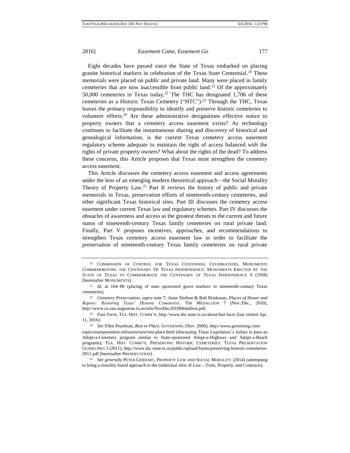Eight decades have passed since the State of Texas embarked on placing granite historical markers in celebration of the Texas State Centennial.<sup>20</sup> These memorials were placed on public and private land. Many were placed in family cemeteries that are now inaccessible from public land.<sup>21</sup> Of the approximately 50,000 cemeteries in Texas today,<sup>22</sup> The THC has designated 1,706 of these cemeteries as a Historic Texas Cemetery ("HTC").<sup>23</sup> Through the THC, Texas leaves the primary responsibility to identify and preserve historic cemeteries to volunteer efforts. $24$  Are these administrative designations effective notice to property owners that a cemetery access easement exists? As technology continues to facilitate the instantaneous sharing and discovery of historical and genealogical information, is the current Texas cemetery access easement regulatory scheme adequate to maintain the right of access balanced with the rights of private property owners? What about the rights of the dead? To address these concerns, this Article proposes that Texas must strengthen the cemetery access easement.

This Article discusses the cemetery access easement and access agreements under the lens of an emerging modern theoretical approach—the Social Morality Theory of Property Law.<sup>25</sup> Part II reviews the history of public and private memorials in Texas, preservation efforts of nineteenth-century cemeteries, and other significant Texas historical sites. Part III discusses the cemetery access easement under current Texas law and regulatory schemes. Part IV discusses the obstacles of awareness and access as the greatest threats to the current and future status of nineteenth-century Texas family cemeteries on rural private land. Finally, Part V proposes incentives, approaches, and recommendations to strengthen Texas cemetery access easement law in order to facilitate the preservation of nineteenth-century Texas family cemeteries on rural private

<sup>&</sup>lt;sup>20</sup> COMMISSION OF CONTROL FOR TEXAS CENTENNIAL CELEBRATIONS, MONUMENTS COMMEMORATING THE CENTENARY OF TEXAS INDEPENDENCE: MONUMENTS ERECTED BY THE STATE OF TEXAS TO COMMEMORATE THE CENTENARY OF TEXAS INDEPENDENCE 9 (1938) [hereinafter MONUMENTS].

<sup>21</sup> *Id.* at 164–80 (placing of state sponsored grave markers in nineteenth-century Texas cemeteries).

<sup>22</sup> *Cemetery Preservation*, *supra* note 7; Anne Shelton & Bob Brinkman, *Places of Honor and Repose: Restoring Texas' Historic Cemeteries*, THE MEDALLION 7 (Nov./Dec., 2010), http://www.co.san-augustine.tx.us/info/NovDec2010Medallion.pdf.

<sup>23</sup> *Fast Facts*, TEX. HIST. COMM'N, http://www.thc.state.tx.us/about/fast-facts (last visited Apr. 11, 2016).

<sup>24</sup> *See* Ellen Pearlman, *Rest in Place*, GOVERNING (Nov. 2000), http://www.governing.com/ topics/transportation-infrastructure/rest-place.html (discussing Texas Legislature's failure to pass an Adopt-a-Cemetery program similar to State-sponsored Adopt-a-Highway and Adopt-a-Beach

programs); TEX. HIST. COMM'N, PRESERVING HISTORIC CEMETERIES: TEXAS PRESERVATION GUIDELINES 3 (2011), http://www.thc.state.tx.us/public/upload/forms/preserving-historic-cemeteries-2011.pdf [hereinafter PRESERVATION].

<sup>25</sup> *See generally* PETER GERHART, PROPERTY LAW AND SOCIAL MORALITY (2014) (attempting to bring a morality based approach to the traditional silos of Law—Torts, Property, and Contracts).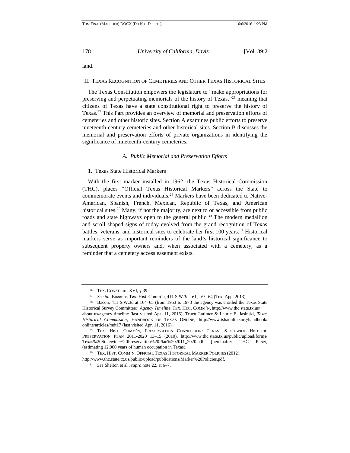land.

### II. TEXAS RECOGNITION OF CEMETERIES AND OTHER TEXAS HISTORICAL SITES

The Texas Constitution empowers the legislature to "make appropriations for preserving and perpetuating memorials of the history of Texas,"<sup>26</sup> meaning that citizens of Texas have a state constitutional right to preserve the history of Texas.<sup>27</sup> This Part provides an overview of memorial and preservation efforts of cemeteries and other historic sites. Section A examines public efforts to preserve nineteenth-century cemeteries and other historical sites. Section B discusses the memorial and preservation efforts of private organizations in identifying the significance of nineteenth-century cemeteries.

#### *A. Public Memorial and Preservation Efforts*

#### 1. Texas State Historical Markers

With the first marker installed in 1962, the Texas Historical Commission (THC), places "Official Texas Historical Markers" across the State to commemorate events and individuals.<sup>28</sup> Markers have been dedicated to Native-American, Spanish, French, Mexican, Republic of Texas, and American historical sites.<sup>29</sup> Many, if not the majority, are next to or accessible from public roads and state highways open to the general public.<sup>30</sup> The modern medallion and scroll shaped signs of today evolved from the grand recognition of Texas battles, veterans, and historical sites to celebrate her first 100 years.<sup>31</sup> Historical markers serve as important reminders of the land's historical significance to subsequent property owners and, when associated with a cemetery, as a reminder that a cemetery access easement exists.

<sup>26</sup> TEX. CONST. art. XVI, § 39.

<sup>27</sup> *See id.*; Bacon v. Tex. Hist. Comm'n, 411 S.W.3d 161, 163–64 (Tex. App. 2013).

<sup>28</sup> Bacon, 411 S.W.3d at 164–65 (from 1953 to 1973 the agency was entitled the Texas State Historical Survey Committee); *Agency Timeline*, TEX. HIST. COMM'N, http://www.thc.state.tx.us/ about-us/agency-timeline (last visited Apr. 11, 2016); Truett Latimer & Laurie E. Jasinski, *Texas* 

*Historical Commission*, HANDBOOK OF TEXAS ONLINE, http://www.tshaonline.org/handbook/ online/articles/mdt17 (last visited Apr. 11, 2016).

<sup>29</sup> TEX. HIST. COMM'N, PRESERVATION CONNECTION: TEXAS' STATEWIDE HISTORIC PRESERVATION PLAN 2011-2020 13–15 (2010), http://www.thc.state.tx.us/public/upload/forms/ Texas%20Statewide%20Preservation%20Plan%202011\_2020.pdf [hereinafter THC PLAN] (estimating 12,000 years of human occupation in Texas).

<sup>30</sup> TEX. HIST. COMM'N, OFFICIAL TEXAS HISTORICAL MARKER POLICIES (2012),

http://www.thc.state.tx.us/public/upload/publications/Marker%20Policies.pdf.

<sup>31</sup> *See* Shelton et al., *supra* note 22, at 6–7.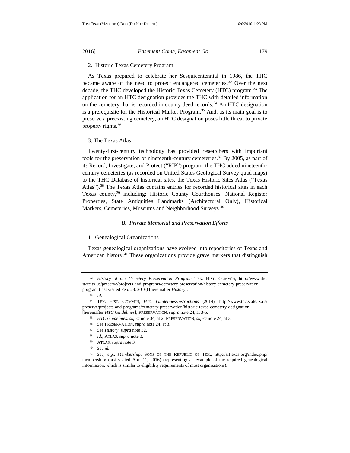# 2. Historic Texas Cemetery Program

As Texas prepared to celebrate her Sesquicentennial in 1986, the THC became aware of the need to protect endangered cemeteries.<sup>32</sup> Over the next decade, the THC developed the Historic Texas Cemetery (HTC) program.<sup>33</sup> The application for an HTC designation provides the THC with detailed information on the cemetery that is recorded in county deed records.<sup>34</sup> An HTC designation is a prerequisite for the Historical Marker Program.<sup>35</sup> And, as its main goal is to preserve a preexisting cemetery, an HTC designation poses little threat to private property rights.<sup>36</sup>

#### 3. The Texas Atlas

Twenty-first-century technology has provided researchers with important tools for the preservation of nineteenth-century cemeteries.<sup>37</sup> By 2005, as part of its Record, Investigate, and Protect ("RIP") program, the THC added nineteenthcentury cemeteries (as recorded on United States Geological Survey quad maps) to the THC Database of historical sites, the Texas Historic Sites Atlas ("Texas Atlas").<sup>38</sup> The Texas Atlas contains entries for recorded historical sites in each Texas county,<sup>39</sup> including: Historic County Courthouses, National Register Properties, State Antiquities Landmarks (Architectural Only), Historical Markers, Cemeteries, Museums and Neighborhood Surveys.<sup>40</sup>

#### *B. Private Memorial and Preservation Efforts*

#### 1. Genealogical Organizations

Texas genealogical organizations have evolved into repositories of Texas and American history.<sup>41</sup> These organizations provide grave markers that distinguish

<sup>32</sup> *History of the Cemetery Preservation Program* TEX. HIST. COMM'N, http://www.thc. state.tx.us/preserve/projects-and-programs/cemetery-preservation/history-cemetery-preservationprogram (last visited Feb. 28, 2016) [hereinafter *History*].

<sup>33</sup> *Id*.

<sup>34</sup> TEX. HIST. COMM'N, *HTC Guidelines/Instructions* (2014), http://www.thc.state.tx.us/ preserve/projects-and-programs/cemetery-preservation/historic-texas-cemetery-designation [hereinafter *HTC Guidelines*]; PRESERVATION, *supra* note 24, at 3-5.

<sup>35</sup> *HTC Guidelines, supra* note 34, at 2; PRESERVATION, *supra* note 24, at 3.

<sup>36</sup> *See* PRESERVATION, *supra* note 24, at 3.

<sup>37</sup> *See History*, *supra* note 32.

<sup>38</sup> *Id*.; ATLAS, *supra* note 3.

<sup>39</sup> ATLAS, *supra* note 3.

<sup>40</sup> *See id.*

<sup>41</sup> *See, e.g.*, *Membership*, SONS OF THE REPUBLIC OF TEX., http://srttexas.org/index.php/ membership/ (last visited Apr. 11, 2016) (representing an example of the required genealogical information, which is similar to eligibility requirements of most organizations).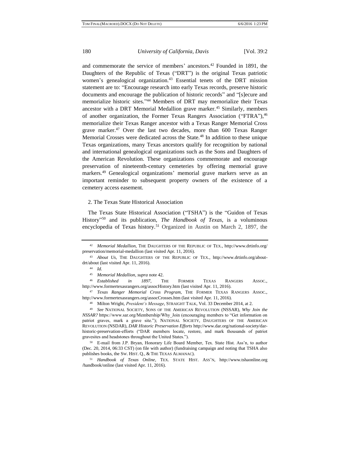and commemorate the service of members' ancestors.<sup>42</sup> Founded in 1891, the Daughters of the Republic of Texas ("DRT") is the original Texas patriotic women's genealogical organization.<sup>43</sup> Essential tenets of the DRT mission statement are to: "Encourage research into early Texas records, preserve historic documents and encourage the publication of historic records" and "[s]ecure and memorialize historic sites." <sup>44</sup> Members of DRT may memorialize their Texas ancestor with a DRT Memorial Medallion grave marker.<sup>45</sup> Similarly, members of another organization, the Former Texas Rangers Association ("FTRA"),<sup>46</sup> memorialize their Texas Ranger ancestor with a Texas Ranger Memorial Cross grave marker.<sup>47</sup> Over the last two decades, more than 600 Texas Ranger Memorial Crosses were dedicated across the State.<sup>48</sup> In addition to these unique Texas organizations, many Texas ancestors qualify for recognition by national and international genealogical organizations such as the Sons and Daughters of the American Revolution. These organizations commemorate and encourage preservation of nineteenth-century cemeteries by offering memorial grave markers.<sup>49</sup> Genealogical organizations' memorial grave markers serve as an important reminder to subsequent property owners of the existence of a cemetery access easement.

#### 2. The Texas State Historical Association

The Texas State Historical Association ("TSHA") is the "Guidon of Texas History" <sup>50</sup> and its publication, *The Handbook of Texas*, is a voluminous encyclopedia of Texas history.<sup>51</sup> Organized in Austin on March 2, 1897, the

<sup>42</sup> *Memorial Medallion,* THE DAUGHTERS OF THE REPUBLIC OF TEX., http://www.drtinfo.org/ preservation/memorial-medallion (last visited Apr. 11, 2016).

<sup>43</sup> *About Us,* THE DAUGHTERS OF THE REPUBLIC OF TEX., http://www.drtinfo.org/aboutdrt/about (last visited Apr. 11, 2016).

<sup>44</sup> *Id.*

<sup>45</sup> *Memorial Medallion, supra* note 42.

<sup>46</sup> *Established in 1897*, THE FORMER TEXAS RANGERS ASSOC., http://www.formertexasrangers.org/assocHistory.htm (last visited Apr. 11, 2016).

<sup>47</sup> *Texas Ranger Memorial Cross Program,* THE FORMER TEXAS RANGERS ASSOC., http://www.formertexasrangers.org/assocCrosses.htm (last visited Apr. 11, 2016).

<sup>48</sup> Milton Wright, *President's Message*, STRAIGHT TALK, Vol. 33 December 2014, at 2.

<sup>49</sup> *See* NATIONAL SOCIETY, SONS OF THE AMERICAN REVOLUTION (NSSAR), *Why Join the NSSAR?* https://www.sar.org/Membership/Why\_Join (encouraging members to "Get information on patriot graves, mark a grave site."); NATIONAL SOCIETY, DAUGHTERS OF THE AMERICAN REVOLUTION (NSDAR), *DAR Historic Preservation Efforts* http://www.dar.org/national-society/darhistoric-preservation-efforts ("DAR members locate, restore, and mark thousands of patriot gravesites and headstones throughout the United States.").

<sup>50</sup> E-mail from J.P. Bryan, Honorary Life Board Member, Tex. State Hist. Ass'n, to author (Dec. 20, 2014, 06:33 CST) (on file with author) (fundraising campaign and noting that TSHA also publishes books, the SW. HIST. Q., & THE TEXAS ALMANAC).

<sup>51</sup> *Handbook of Texas Online*, TEX. STATE HIST. ASS'N, http://www.tshaonline.org /handbook/online (last visited Apr. 11, 2016).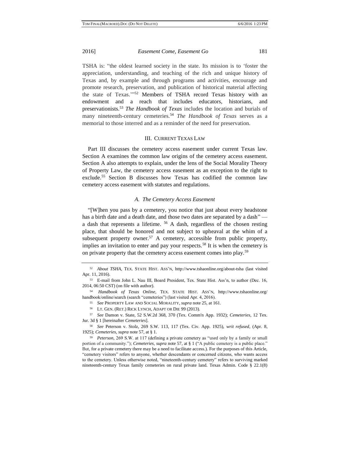TSHA is: "the oldest learned society in the state. Its mission is to 'foster the appreciation, understanding, and teaching of the rich and unique history of Texas and, by example and through programs and activities, encourage and promote research, preservation, and publication of historical material affecting the state of Texas."<sup>52</sup> Members of TSHA record Texas history with an endowment and a reach that includes educators, historians, and preservationists.<sup>53</sup> *The Handbook of Texas* includes the location and burials of many nineteenth-century cemeteries.<sup>54</sup> *The Handbook of Texas* serves as a memorial to those interred and as a reminder of the need for preservation.

#### III. CURRENT TEXAS LAW

Part III discusses the cemetery access easement under current Texas law. Section A examines the common law origins of the cemetery access easement. Section A also attempts to explain, under the lens of the Social Morality Theory of Property Law, the cemetery access easement as an exception to the right to exclude.<sup>55</sup> Section B discusses how Texas has codified the common law cemetery access easement with statutes and regulations.

#### *A. The Cemetery Access Easement*

"[W]hen you pass by a cemetery, you notice that just about every headstone has a birth date and a death date, and those two dates are separated by a dash" a dash that represents a lifetime. <sup>56</sup> A dash, regardless of the chosen resting place, that should be honored and not subject to upheaval at the whim of a subsequent property owner.<sup>57</sup> A cemetery, accessible from public property, implies an invitation to enter and pay your respects.<sup>58</sup> It is when the cemetery is on private property that the cemetery access easement comes into play.<sup>59</sup>

<sup>56</sup> LT. GEN. (RET.) RICK LYNCH, ADAPT OR DIE 99 (2013).

<sup>57</sup> *See* Damon v. State, 52 S.W.2d 368, 370 (Tex. Comm'n App. 1932); *Cemeteries*, 12 Tex. Jur. 3d § 1 [hereinafter *Cemeteries*].

<sup>58</sup> *See* Peterson v. Stolz, 269 S.W. 113, 117 (Tex. Civ. App. 1925), *writ refused*, (Apr. 8, 1925); *Cemeteries*, *supra* note 57, at § 1.

<sup>59</sup> *Peterson,* 269 S.W. at 117 (defining a private cemetery as "used only by a family or small portion of a community."); *Cemeteries*, *supra* note 57, at § 1 ("A public cemetery is a public place." But, for a private cemetery there may be a need to facilitate access.). For the purposes of this Article, "cemetery visitors" refers to anyone, whether descendants or concerned citizens, who wants access to the cemetery. Unless otherwise noted, "nineteenth-century cemetery" refers to surviving marked nineteenth-century Texas family cemeteries on rural private land. Texas Admin. Code § 22.1(8)

<sup>52</sup> *About TSHA,* TEX. STATE HIST. ASS'N, http://www.tshaonline.org/about-tsha (last visited Apr. 11, 2016).

<sup>53</sup> E-mail from John L. Nau III, Board President, Tex. State Hist. Ass'n, to author (Dec. 16, 2014, 06:50 CST) (on file with author).

<sup>54</sup> *Handbook of Texas Online*, TEX. STATE HIST. ASS'N, http://www.tshaonline.org/ handbook/online/search (search "cemeteries") (last visited Apr. 4, 2016).

<sup>55</sup> *See* PROPERTY LAW AND SOCIAL MORALITY, *supra* note 25, at 161.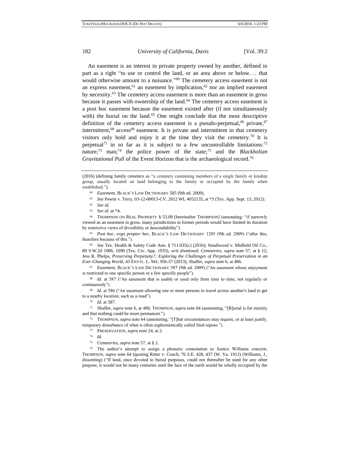An easement is an interest in private property owned by another, defined in part as a right "to use or control the land, or an area above or below. . . that would otherwise amount to a nuisance." <sup>60</sup> The cemetery access easement is not an express easement,<sup>61</sup> an easement by implication,<sup>62</sup> nor an implied easement by necessity.<sup>63</sup> The cemetery access easement is more than an easement in gross because it passes with ownership of the land.<sup>64</sup> The cemetery access easement is a post hoc easement because the easement existed after (if not simultaneously with) the burial on the land.<sup>65</sup> One might conclude that the most descriptive definition of the cemetery access easement is a pseudo-perpetual,<sup>66</sup> private,<sup>67</sup> intermittent, $68$  access $69$  easement. It is private and intermittent in that cemetery visitors only hold and enjoy it at the time they visit the cemetery.<sup>70</sup> It is perpetual<sup>71</sup> in so far as it is subject to a few uncontrollable limitations:<sup>72</sup> nature;<sup>73</sup> man;<sup>74</sup> the police power of the state;<sup>75</sup> and the *Blackholian Gravitational Pull* of the Event Horizon that is the archaeological record.<sup>76</sup>

(2016) (defining family cemetery as "a cemetery containing members of a single family or kinship group, usually located on land belonging to the family or occupied by the family when established.").

- <sup>60</sup> *Easement,* BLACK'S LAW DICTIONARY 585 (9th ed. 2009).
- <sup>61</sup> *See* Pewitt v. Terry, 03-12-00013-CV, 2012 WL 4052135, at \*3 (Tex. App. Sept. 13, 2012).
- <sup>62</sup> *See id.*
- <sup>63</sup> *See id.* at \*4.

<sup>64</sup> THOMPSON ON REAL PROPERTY § 53.09 [hereinafter THOMPSON] (annotating: "if narrowly viewed as an easement in gross, many jurisdictions in former periods would have limited its duration by restrictive views of divisibility or descendability").

<sup>65</sup> *Post hoc, ergo propter hoc,* BLACK'S LAW DICTIONARY 1285 (9th ed. 2009) ("after this, therefore because of this.").

<sup>66</sup> *See* Tex. Health & Safety Code Ann. § 711.035(c) (2016); Smallwood v. Midfield Oil Co., 89 S.W.2d 1086, 1090 (Tex. Civ. App. 1935), *writ dismissed*; *Cemeteries*, *supra* note 57, at § 12; Jess R. Phelps, *Preserving Perpetuity?: Exploring the Challenges of Perpetual Preservation in an Ever-Changing World*, 43 ENVTL. L. 941, 956-57 (2013); Shaffer, *supra* note 6, at 486.

<sup>67</sup> *Easement*, BLACK'S LAW DICTIONARY 587 (9th ed. 2009) ("An easement whose enjoyment is restricted to one specific person or a few specific people").

<sup>68</sup> *Id.* at 587 ("An easement that is usable or used only from time to time, not regularly or continuously").

<sup>69</sup> *Id.* at 586 ("An easement allowing one or more persons to travel across another's land to get to a nearby location, such as a road").

<sup>71</sup> Shaffer, *supra* note 6, at 486; THOMPSON, *supra* note 64 (annotating, "[B]urial is for eternity and that nothing could be more permanent.").

<sup>72</sup> THOMPSON, *supra* note 64 (annotating, "[T]hat circumstances may require, or at least justify, temporary disturbance of what is often euphemistically called final repose.").

- <sup>73</sup> PRESERVATION, *supra* note 24, at 2.
- <sup>74</sup> *Id.*
- <sup>75</sup> *Cemeteries*, *supra* note 57, at § 2.

<sup>76</sup> The author's attempt to assign a phonetic connotation to Justice Williams concern; THOMPSON, *supra* note 64 (quoting Ritter v. Couch, 76 S.E. 428, 437 (W. Va. 1912) (Williams, J., dissenting) ("If land, once devoted to burial purposes, could not thereafter be used for any other purpose, it would not be many centuries until the face of the earth would be wholly occupied by the

<sup>70</sup> *Id.* at 587.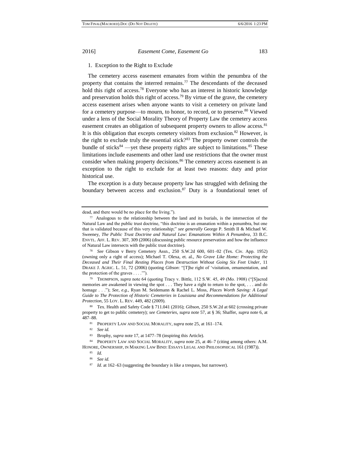# 1. Exception to the Right to Exclude

The cemetery access easement emanates from within the penumbra of the property that contains the interred remains.<sup>77</sup> The descendants of the deceased hold this right of access.<sup>78</sup> Everyone who has an interest in historic knowledge and preservation holds this right of access.<sup>79</sup> By virtue of the grave, the cemetery access easement arises when anyone wants to visit a cemetery on private land for a cemetery purpose—to mourn, to honor, to record, or to preserve.<sup>80</sup> Viewed under a lens of the Social Morality Theory of Property Law the cemetery access easement creates an obligation of subsequent property owners to allow access.<sup>81</sup> It is this obligation that excepts cemetery visitors from exclusion.<sup>82</sup> However, is the right to exclude truly the essential stick? $83$  The property owner controls the bundle of sticks $84$  —yet these property rights are subject to limitations.  $85$  These limitations include easements and other land use restrictions that the owner must consider when making property decisions.<sup>86</sup> The cemetery access easement is an exception to the right to exclude for at least two reasons: duty and prior historical use.

The exception is a duty because property law has struggled with defining the boundary between access and exclusion.<sup>87</sup> Duty is a foundational tenet of

<sup>79</sup> THOMPSON, *supra* note 64 (quoting Tracy v. Bittle, 112 S.W. 45, 49 (Mo. 1908) ("[S]acred memories are awakened in viewing the spot . . . They have a right to return to the spot, . . . and do homage . . ."); *See, e.g.*, Ryan M. Seidemann & Rachel L. Moss, *Places Worth Saving: A Legal Guide to The Protection of Historic Cemeteries in Louisiana and Recommendations for Additional Protection*, 55 LOY. L. REV. 449, 482 (2009).

dead, and there would be no place for the living.").

<sup>77</sup> Analogous to the relationship between the land and its burials, is the intersection of the Natural Law and the public trust doctrine, "this doctrine is an emanation within a penumbra, but one that is validated because of this very relationship;" *see generally* George P. Smith II & Michael W. Sweeney, *The Public Trust Doctrine and Natural Law: Emanations Within A Penumbra*, 33 B.C. ENVTL. AFF. L. REV. 307, 309 (2006) (discussing public resource preservation and how the influence of Natural Law intersects with the public trust doctrine).

<sup>78</sup> *See* Gibson v Berry Cemetery Assn., 250 S.W.2d 600, 601–02 (Tex. Civ. App. 1952) (owning only a right of access); Michael T. Olexa, et. al., *No Grave Like Home: Protecting the Deceased and Their Final Resting Places from Destruction Without Going Six Feet Under*, 11 DRAKE J. AGRIC. L. 51, 72 (2006) (quoting *Gibson*: "[T]he right of 'visitation, ornamentation, and the protection of the graves . . . .'").

<sup>80</sup> Tex. Health and Safety Code § 711.041 (2016); *Gibson*, 250 S.W.2d at 602 (crossing private property to get to public cemetery); *see Cemeteries*, *supra* note 57, at § 36; Shaffer, *supra* note 6, at 487–88.

<sup>81</sup> PROPERTY LAW AND SOCIAL MORALITY, *supra* note 25, at 161–174.

<sup>82</sup> *See id.*

<sup>83</sup> Brophy, *supra* note 17, at 1477–78 (inspiring this Article).

<sup>84</sup> PROPERTY LAW AND SOCIAL MORALITY, *supra* note 25, at 46–7 (citing among others: A.M. HONORE, OWNERSHIP, IN MAKING LAW BIND: ESSAYS LEGAL AND PHILOSOPHICAL 161 (1987)).

<sup>85</sup> *Id.*

<sup>86</sup> *See id.*

<sup>87</sup> *Id.* at 162–63 (suggesting the boundary is like a trespass, but narrower).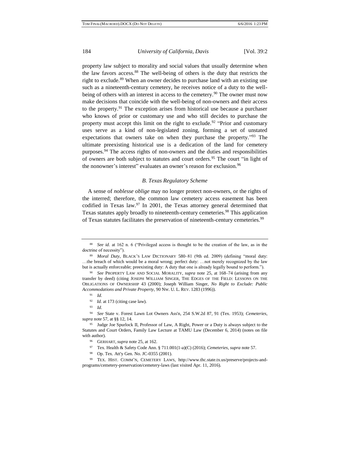property law subject to morality and social values that usually determine when the law favors access.<sup>88</sup> The well-being of others is the duty that restricts the right to exclude.<sup>89</sup> When an owner decides to purchase land with an existing use such as a nineteenth-century cemetery, he receives notice of a duty to the wellbeing of others with an interest in access to the cemetery.<sup>90</sup> The owner must now make decisions that coincide with the well-being of non-owners and their access to the property. $91$  The exception arises from historical use because a purchaser who knows of prior or customary use and who still decides to purchase the property must accept this limit on the right to exclude.<sup>92</sup> "Prior and customary uses serve as a kind of non-legislated zoning, forming a set of unstated expectations that owners take on when they purchase the property.<sup>193</sup> The ultimate preexisting historical use is a dedication of the land for cemetery purposes.<sup>94</sup> The access rights of non-owners and the duties and responsibilities of owners are both subject to statutes and court orders.<sup>95</sup> The court "in light of the nonowner's interest" evaluates an owner's reason for exclusion.<sup>96</sup>

#### *B. Texas Regulatory Scheme*

A sense of *noblesse oblige* may no longer protect non-owners, or the rights of the interred; therefore, the common law cemetery access easement has been codified in Texas law.<sup>97</sup> In 2001, the Texas attorney general determined that Texas statutes apply broadly to nineteenth-century cemeteries.<sup>98</sup> This application of Texas statutes facilitates the preservation of nineteenth-century cemeteries.<sup>99</sup>

<sup>88</sup> *See id.* at 162 n. 6 ("Privileged access is thought to be the creation of the law, as in the doctrine of necessity").

<sup>89</sup> *Moral Duty*, BLACK'S LAW DICTIONARY 580–81 (9th ed. 2009) (defining "moral duty: …the breach of which would be a moral wrong; perfect duty: …not merely recognized by the law but is actually enforceable; preexisting duty: A duty that one is already legally bound to perform.").

<sup>90</sup> *See* PROPERTY LAW AND SOCIAL MORALITY, *supra* note 25, at 168–74 (arising from any transfer by deed) (citing JOSEPH WILLIAM SINGER, THE EDGES OF THE FIELD: LESSONS ON THE OBLIGATIONS OF OWNERSHIP 43 (2000); Joseph William Singer, *No Right to Exclude: Public Accommodations and Private Property*, 90 NW. U. L. REV. 1283 (1996)).

<sup>91</sup> *Id.*

<sup>92</sup> *Id.* at 173 (citing case law).

<sup>93</sup> *Id.*

<sup>94</sup> *See* State v. Forest Lawn Lot Owners Ass'n, 254 S.W.2d 87, 91 (Tex. 1953); *Cemeteries*, *supra* note 57, at §§ 12, 14.

<sup>&</sup>lt;sup>95</sup> Judge Joe Spurlock II, Professor of Law, A Right, Power or a Duty is always subject to the Statutes and Court Orders, Family Law Lecture at TAMU Law (December 6, 2014) (notes on file with author).

<sup>96</sup> GERHART, *supra* note 25, at 162.

<sup>97</sup> Tex. Health & Safety Code Ann. § 711.001(1-a)(C) (2016); *Cemeteries*, *supra* note 57.

<sup>98</sup> Op. Tex. Att'y Gen. No. JC-0355 (2001).

<sup>99</sup> TEX. HIST. COMM'N, CEMETERY LAWS, http://www.thc.state.tx.us/preserve/projects-andprograms/cemetery-preservation/cemetery-laws (last visited Apr. 11, 2016).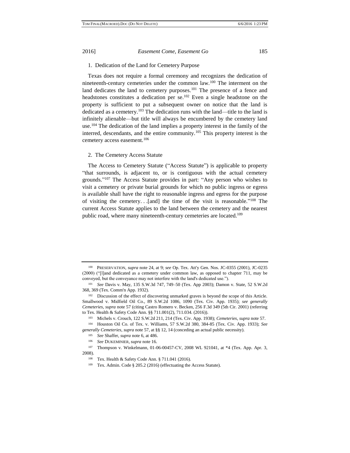#### 1. Dedication of the Land for Cemetery Purpose

Texas does not require a formal ceremony and recognizes the dedication of nineteenth-century cemeteries under the common law.<sup>100</sup> The interment on the land dedicates the land to cemetery purposes.<sup>101</sup> The presence of a fence and headstones constitutes a dedication per se.<sup>102</sup> Even a single headstone on the property is sufficient to put a subsequent owner on notice that the land is dedicated as a cemetery.<sup>103</sup> The dedication runs with the land—title to the land is infinitely alienable—but title will always be encumbered by the cemetery land use.<sup>104</sup> The dedication of the land implies a property interest in the family of the interred, descendants, and the entire community.<sup>105</sup> This property interest is the cemetery access easement.<sup>106</sup>

#### 2. The Cemetery Access Statute

The Access to Cemetery Statute ("Access Statute") is applicable to property "that surrounds, is adjacent to, or is contiguous with the actual cemetery grounds." <sup>107</sup> The Access Statute provides in part: "Any person who wishes to visit a cemetery or private burial grounds for which no public ingress or egress is available shall have the right to reasonable ingress and egress for the purpose of visiting the cemetery...[and] the time of the visit is reasonable."<sup>108</sup> The current Access Statute applies to the land between the cemetery and the nearest public road, where many nineteenth-century cemeteries are located.<sup>109</sup>

<sup>100</sup> PRESERVATION, *supra* note 24, at 9; *see* Op. Tex. Att'y Gen. Nos. JC-0355 (2001), JC-0235 (2000) ("[l]and dedicated as a cemetery under common law, as opposed to chapter 711, may be conveyed, but the conveyance may not interfere with the land's dedicated use.").

<sup>101</sup> *See* Davis v. May, 135 S.W.3d 747, 749–50 (Tex. App 2003); Damon v. State, 52 S.W.2d 368, 369 (Tex. Comm'n App. 1932).

<sup>102</sup> Discussion of the effect of discovering unmarked graves is beyond the scope of this Article. Smallwood v. Midfield Oil Co., 89 S.W.2d 1086, 1090 (Tex. Civ. App. 1935); *see generally Cemeteries*, *supra* note 57 (citing [Castro Romero v. Becken, 256 F.3d 349 \(5th Cir. 2001\)](https://a.next.westlaw.com/Link/Document/FullText?findType=Y&serNum=2001553353&pubNum=0000506&originationContext=document&transitionType=DocumentItem&contextData=(sc.Category)) (referring to Tex. Health & [Safety Code Ann.](https://a.next.westlaw.com/Link/Document/FullText?findType=L&pubNum=1000672&cite=TXHSS711.001&originatingDoc=Iba2840d93cce11d99267be94bc8d86b3&refType=LQ&originationContext=document&transitionType=DocumentItem&contextData=(sc.Category)) §§ 711.001(2)[, 711.034.](https://a.next.westlaw.com/Link/Document/FullText?findType=L&pubNum=1000672&cite=TXHSS711.034&originatingDoc=Iba2840d93cce11d99267be94bc8d86b3&refType=LQ&originationContext=document&transitionType=DocumentItem&contextData=(sc.Category)) (2016)).

<sup>103</sup> Michels v. Crouch, 122 S.W.2d 211, 214 (Tex. Civ. App. 1938); *Cemeteries*, *supra* note 57. <sup>104</sup> Houston Oil Co. of Tex. v. Williams, 57 S.W.2d 380, 384-85 (Tex. Civ. App. 1933); *See generally Cemeteries*, *supra* note 57, at §§ 12, 14 (conceding an actual public necessity).

<sup>105</sup> *See* Shaffer, *supra* note 6, at 486.

<sup>106</sup> *See* DUKEMINIER, *supra* note 16.

<sup>107</sup> Thompson v. Winkelmann, 01-06-00457-CV, 2008 WL 921041, at \*4 (Tex. App. Apr. 3, 2008).

<sup>108</sup> Tex. Health & Safety Code Ann. § 711.041 (2016).

<sup>109</sup> Tex. Admin. Code § 205.2 (2016) (effectuating the Access Statute).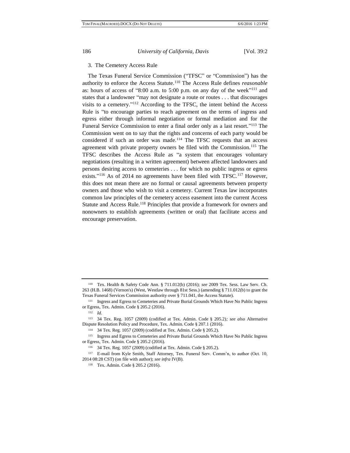#### 3. The Cemetery Access Rule

The Texas Funeral Service Commission ("TFSC" or "Commission") has the authority to enforce the Access Statute.<sup>110</sup> The Access Rule defines *reasonable*  as: hours of access of "8:00 a.m. to 5:00 p.m. on any day of the week"<sup>111</sup> and states that a landowner "may not designate a route or routes . . . that discourages visits to a cemetery." <sup>112</sup> According to the TFSC, the intent behind the Access Rule is "to encourage parties to reach agreement on the terms of ingress and egress either through informal negotiation or formal mediation and for the Funeral Service Commission to enter a final order only as a last resort."<sup>113</sup> The Commission went on to say that the rights and concerns of each party would be considered if such an order was made.<sup>114</sup> The TFSC requests that an access agreement with private property owners be filed with the Commission.<sup>115</sup> The TFSC describes the Access Rule as "a system that encourages voluntary negotiations (resulting in a written agreement) between affected landowners and persons desiring access to cemeteries . . . for which no public ingress or egress exists."<sup>116</sup> As of 2014 no agreements have been filed with TFSC.<sup>117</sup> However, this does not mean there are no formal or causal agreements between property owners and those who wish to visit a cemetery. Current Texas law incorporates common law principles of the cemetery access easement into the current Access Statute and Access Rule.<sup>118</sup> Principles that provide a framework for owners and nonowners to establish agreements (written or oral) that facilitate access and encourage preservation.

<sup>110</sup> Tex. Health & Safety Code Ann. § 711.012(b) (2016); *see* 2009 Tex. Sess. Law Serv. Ch. 263 (H.B. 1468) (Vernon's) (West, Westlaw through 81st Sess.) (amending § 711.012(b) to grant the Texas Funeral Services Commission authority over § 711.041, the Access Statute).

<sup>111</sup> Ingress and Egress to Cemeteries and Private Burial Grounds Which Have No Public Ingress or Egress, Tex. Admin. Code § 205.2 (2016).

<sup>112</sup> *Id.*

<sup>113</sup> 34 Tex. Reg. 1057 (2009) (codified at Tex. Admin. Code § 205.2)*; see also* Alternative Dispute Resolution Policy and Procedure, Tex. Admin. Code § 207.1 (2016).

<sup>114</sup> 34 Tex. Reg. 1057 (2009) (codified at Tex. Admin. Code § 205.2).

<sup>115</sup> Ingress and Egress to Cemeteries and Private Burial Grounds Which Have No Public Ingress or Egress, Tex. Admin. Code § 205.2 (2016).

<sup>116</sup> 34 Tex. Reg. 1057 (2009) (codified at Tex. Admin. Code § 205.2).

<sup>117</sup> E-mail from Kyle Smith, Staff Attorney, Tex. Funeral Serv. Comm'n, to author (Oct. 10, 2014 08:28 CST) (on file with author); *see infra* IV(B).

<sup>118</sup> Tex. Admin. Code § 205.2 (2016).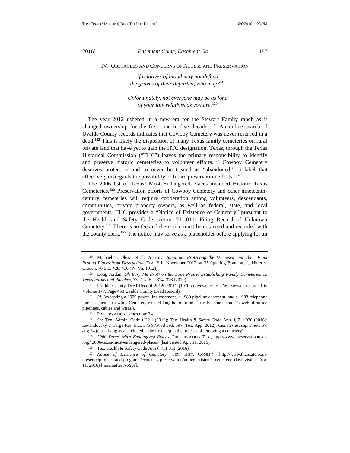IV. OBSTACLES AND CONCERNS OF ACCESS AND PRESERVATION

*If relatives of blood may not defend the graves of their departed, who may?*<sup>119</sup>

*Unfortunately, not everyone may be as fond of your late relatives as you are.*<sup>120</sup>

The year 2012 ushered in a new era for the Stewart Family ranch as it changed ownership for the first time in five decades.<sup>121</sup> An online search of Uvalde County records indicates that Cowboy Cemetery was never reserved in a deed.<sup>122</sup> This is likely the disposition of many Texas family cemeteries on rural private land that have yet to gain the HTC designation. Texas, through the Texas Historical Commission ("THC") leaves the primary responsibility to identify and preserve historic cemeteries to volunteer efforts.<sup>123</sup> Cowboy Cemetery deserves protection and to never be treated as "abandoned"—a label that effectively disregards the possibility of future preservation efforts.<sup>124</sup>

The 2006 list of Texas' Most Endangered Places included Historic Texas Cemeteries.<sup>125</sup> Preservation efforts of Cowboy Cemetery and other nineteenthcentury cemeteries will require cooperation among volunteers, descendants, communities, private property owners, as well as federal, state, and local governments. THC provides a "Notice of Existence of Cemetery" pursuant to the Health and Safety Code section 711.011: Filing Record of Unknown Cemetery.<sup>126</sup> There is no fee and the notice must be notarized and recorded with the county clerk.<sup>127</sup> The notice may serve as a placeholder before applying for an

<sup>119</sup> Michael T. Olexa, et al., *A Grave Situation: Protecting the Deceased and Their Final Resting Places from Destruction*, FLA. B.J., November 2012, at 35 (quoting Brannon, J., Hitter v. Crouch, 76 S.E. 428, 430 (W. Va. 1912)).

<sup>120</sup> Doug Jordan, *Oh Bury Me (Not) on the Lone Prairie Establishing Family Cemeteries on Texas Farms and Ranches*, 73 TEX. B.J. 374, 376 (2010).

<sup>121</sup> Uvalde County Deed Record 2012003011 (1970 conveyance to J.W. Stewart recorded in Volume 177, Page 453 Uvalde County Deed Record).

<sup>122</sup> *Id.* (excepting a 1929 power line easement, a 1980 pipeline easement, and a 1983 telephone line easement—Cowboy Cemetery existed long before rural Texas became a spider's web of buried pipelines, cables and wires.).

<sup>123</sup> PRESERVATION, *supra* note 24.

<sup>124</sup> *See* Tex. Admin. Code § 22.1 (2016); Tex. Health & Safety Code Ann. § 711.036 (2016); Levandovsky v. Targa Res. Inc., 375 S.W.3d 593, 597 (Tex. App. 2012); *Cemeteries*, *supra* note 57, at § 24 (classifying as abandoned is the first step in the process of removing a cemetery).

<sup>125</sup> *2006 Texas' Most Endangered Places*, PRESERVATION TEX., http://www.preservationtexas .org/ 2006-texas-most-endangered-places/ (last visited Apr. 11, 2016).

<sup>126</sup> Tex. Health & Safety Code Ann § 711.011 (2016).

<sup>127</sup> *Notice of Existence of Cemetery,* TEX. HIST. COMM'N, http://www.thc.state.tx.us/ preserve/projects-and-programs/cemetery-preservation/notice-existence-cemetery (last visited Apr. 11, 2016) [hereinafter *Notice*].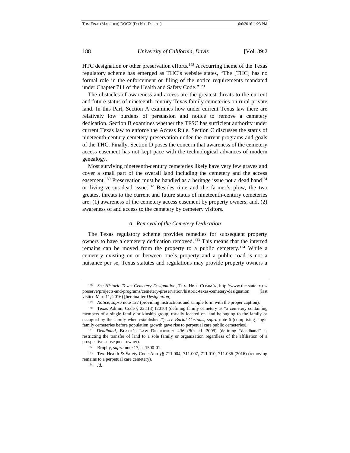HTC designation or other preservation efforts.<sup>128</sup> A recurring theme of the Texas regulatory scheme has emerged as THC's website states, "The [THC] has no formal role in the enforcement or filing of the notice requirements mandated under Chapter 711 of the Health and Safety Code."<sup>129</sup>

The obstacles of awareness and access are the greatest threats to the current and future status of nineteenth-century Texas family cemeteries on rural private land. In this Part, Section A examines how under current Texas law there are relatively low burdens of persuasion and notice to remove a cemetery dedication. Section B examines whether the TFSC has sufficient authority under current Texas law to enforce the Access Rule. Section C discusses the status of nineteenth-century cemetery preservation under the current programs and goals of the THC. Finally, Section D poses the concern that awareness of the cemetery access easement has not kept pace with the technological advances of modern genealogy.

Most surviving nineteenth-century cemeteries likely have very few graves and cover a small part of the overall land including the cemetery and the access easement.<sup>130</sup> Preservation must be handled as a heritage issue not a dead hand<sup>131</sup> or living-versus-dead issue.<sup>132</sup> Besides time and the farmer's plow, the two greatest threats to the current and future status of nineteenth-century cemeteries are: (1) awareness of the cemetery access easement by property owners; and, (2) awareness of and access to the cemetery by cemetery visitors.

#### *A. Removal of the Cemetery Dedication*

The Texas regulatory scheme provides remedies for subsequent property owners to have a cemetery dedication removed.<sup>133</sup> This means that the interred remains can be moved from the property to a public cemetery.<sup>134</sup> While a cemetery existing on or between one's property and a public road is not a nuisance per se, Texas statutes and regulations may provide property owners a

<sup>128</sup> *See Historic Texas Cemetery Designation*, TEX. HIST. COMM'N, http://www.thc.state.tx.us/ preserve/projects-and-programs/cemetery-preservation/historic-texas-cemetery-designation (last visited Mar. 11, 2016) [hereinafter *Designation*].

<sup>129</sup> *Notice, supra* note 127 (providing instructions and sample form with the proper caption).

<sup>130</sup> Texas Admin. Code § 22.1(8) (2016) (defining family cemetery as "a cemetery containing members of a single family or kinship group, usually located on land belonging to the family or occupied by the family when established."); *see Burial Customs, supra* note 6 (comprising single family cemeteries before population growth gave rise to perpetual care public cemeteries).

<sup>131</sup> *Deadhand*, BLACK'S LAW DICTIONARY 456 (9th ed. 2009) (defining "deadhand" as restricting the transfer of land to a sole family or organization regardless of the affiliation of a prospective subsequent owner).

<sup>132</sup> Brophy, *supra* note 17, at 1500-01.

<sup>133</sup> Tex. Health & Safety Code Ann §§ 711.004, 711.007, 711.010, 711.036 (2016) (removing remains to a perpetual care cemetery).

<sup>134</sup> *Id.*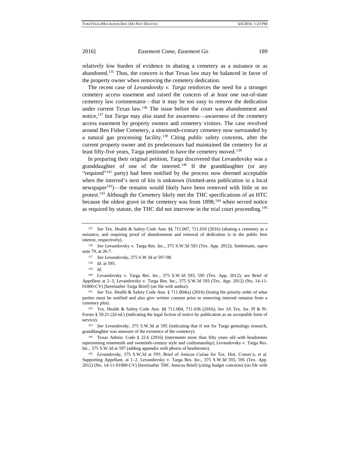relatively low burden of evidence in abating a cemetery as a nuisance or as abandoned.<sup>135</sup> Thus, the concern is that Texas law may be balanced in favor of the property owner when removing the cemetery dedication.

The recent case of *Levandovsky v. Targa* reinforces the need for a stronger cemetery access easement and raised the concern of at least one out-of-state cemetery law commentator—that it may be too easy to remove the dedication under current Texas law.<sup>136</sup> The issue before the court was abandonment and notice,<sup>137</sup> but *Targa* may also stand for awareness—awareness of the cemetery access easement by property owners and cemetery visitors. The case revolved around Ben Fisher Cemetery, a nineteenth-century cemetery now surrounded by a natural gas processing facility.<sup>138</sup> Citing public safety concerns, after the current property owner and its predecessors had maintained the cemetery for at least fifty-five years, Targa petitioned to have the cemetery moved.<sup>139</sup>

In preparing their original petition, Targa discovered that Levandovsky was a granddaughter of one of the interred.<sup>140</sup> If the granddaughter (or any "required"<sup>141</sup> party) had been notified by the process now deemed acceptable when the interred's next of kin is unknown (limited-area publication in a local newspaper<sup>142</sup>)—the remains would likely have been removed with little or no protest.<sup>143</sup> Although the Cemetery likely met the THC specifications of an HTC because the oldest grave in the cemetery was from 1898,<sup>144</sup> when served notice as required by statute, the THC did not intervene in the trial court proceeding.<sup>145</sup>

<sup>140</sup> Levandovsky v. Targa Res. Inc., 375 S.W.3d 593, 595 (Tex. App. 2012); *see* Brief of Appellees at 2–3, Levandovsky v. Targa Res. Inc., 375 S.W.3d 593 (Tex. App. 2012) (No. 14-11- 01000-CV) [hereinafter Targa Brief] (on file with author).

<sup>141</sup> *See* Tex. Health & Safety Code Ann. § 711.004(a) (2016) (listing the priority order of what parties must be notified and also give written consent prior to removing interred remains from a cemetery plot).

<sup>142</sup> Tex. Health & Safety Code Ann. §§ 711.004, 711.036 (2016); *See* 3A Tex. Jur. Pl & Pr. Forms § 59:21 (2d ed.) (indicating the legal fiction of notice by publication as an acceptable form of service).

<sup>145</sup> *Levandovsky*, 375 S.W.3d at 595; Brief of Amicus Curiae for Tex. Hist. Comm'n, et al. Supporting Appellant, at 1–2, Levandovsky v. Targa Res. Inc., 375 S.W.3d 593, 595 (Tex. App. 2012) (No. 14-11-01000-CV) [hereinafter THC Amicus Brief] (citing budget concerns) (on file with

<sup>135</sup> *See* Tex. Health & Safety Code Ann. §§ 711.007, 711.010 (2016) (abating a cemetery as a nuisance, and requiring proof of abandonment and removal of dedication is in the public best interest, respectively).

<sup>136</sup> *See* Levandovsky v. Targa Res. Inc., 375 S.W.3d 593 (Tex. App. 2012); Seidemann, *supra*  note 79, at 26-7.

<sup>137</sup> *See Levandovsky*, 375 S.W.3d at 597-98.

<sup>138</sup> *Id.* at 595.

<sup>139</sup> *Id.*

<sup>143</sup> *See Levandovsky*, 375 S.W.3d at 595 (indicating that if not for Targa genealogy research, granddaughter was unaware of the existence of the cemetery).

<sup>144</sup> Texas Admin. Code § 22.6 (2016) (interments more than fifty years old with headstones representing nineteenth and twentieth-century style and craftsmanship); Levandovsky v. Targa Res. Inc., 375 S.W.3d at 597 (adding appendix with photos of headstones).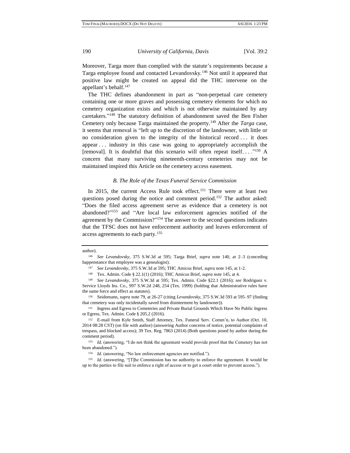Moreover, Targa more than complied with the statute's requirements because a Targa employee found and contacted Levandovsky.<sup>146</sup> Not until it appeared that positive law might be created on appeal did the THC intervene on the appellant's behalf.<sup>147</sup>

The THC defines abandonment in part as "non-perpetual care cemetery containing one or more graves and possessing cemetery elements for which no cemetery organization exists and which is not otherwise maintained by any caretakers." <sup>148</sup> The statutory definition of abandonment saved the Ben Fisher Cemetery only because Targa maintained the property.<sup>149</sup> After the *Targa* case, it seems that removal is "left up to the discretion of the landowner, with little or no consideration given to the integrity of the historical record . . . it does appear . . . industry in this case was going to appropriately accomplish the [removal]. It is doubtful that this scenario will often repeat itself... $^{150}$  A concern that many surviving nineteenth-century cemeteries may not be maintained inspired this Article on the cemetery access easement.

### *B. The Role of the Texas Funeral Service Commission*

In 2015, the current Access Rule took effect.<sup>151</sup> There were at least two questions posed during the notice and comment period.<sup>152</sup> The author asked: "Does the filed access agreement serve as evidence that a cemetery is not abandoned?" <sup>153</sup> and "Are local law enforcement agencies notified of the agreement by the Commission?"<sup>154</sup> The answer to the second questions indicates that the TFSC does not have enforcement authority and leaves enforcement of access agreements to each party.<sup>155</sup>

#### author).

<sup>151</sup> Ingress and Egress to Cemeteries and Private Burial Grounds Which Have No Public Ingress or Egress, Tex. Admin. Code § 205.2 (2016).

<sup>146</sup> *See Levandovsky*, 375 S.W.3d at 595; Targa Brief, *supra* note 140, at 2–3 (conceding happenstance that employee was a genealogist).

<sup>147</sup> *See Levandovsky*, 375 S.W.3d at 595; THC Amicus Brief, *supra* note 145, at 1-2.

<sup>148</sup> Tex. Admin. Code § 22.1(1) (2016); THC Amicus Brief, *supra* note 145, at 4.

<sup>149</sup> *See Levandovsky*, 375 S.W.3d at 595; Tex. Admin. Code §22.1 (2016); *see* Rodriguez v. Service Lloyds Ins. Co., 997 S.W.2d 248, 254 (Tex. 1999) (holding that Administrative rules have the same force and effect as statutes).

<sup>150</sup> Seidemann, *supra* note 79, at 26-27 (citing *Levandovsky*, 375 S.W.3d 593 at 595–97 (finding that cemetery was only incidentally saved from disinterment by landowner)).

<sup>152</sup> E-mail from Kyle Smith, Staff Attorney, Tex. Funeral Serv. Comm'n, to Author (Oct. 10, 2014 08:28 CST) (on file with author) (answering Author concerns of notice, potential complaints of trespass, and blocked access); 39 Tex. Reg. 7863 (2014) (Both questions posed by author during the comment period).

<sup>&</sup>lt;sup>153</sup> *Id.* (answering, "I do not think the agreement would provide proof that the Cemetery has not been abandoned.").

<sup>154</sup> *Id.* (answering, "No law enforcement agencies are notified.").

<sup>155</sup> *Id.* (answering, "[T]he Commission has no authority to enforce the agreement. It would be up to the parties to file suit to enforce a right of access or to get a court order to prevent access.").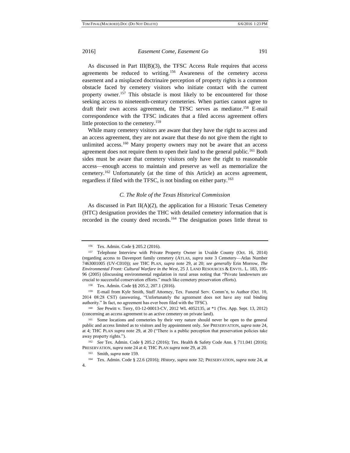As discussed in Part  $III(B)(3)$ , the TFSC Access Rule requires that access agreements be reduced to writing.<sup>156</sup> Awareness of the cemetery access easement and a misplaced doctrinaire perception of property rights is a common obstacle faced by cemetery visitors who initiate contact with the current property owner.<sup>157</sup> This obstacle is most likely to be encountered for those seeking access to nineteenth-century cemeteries. When parties cannot agree to draft their own access agreement, the TFSC serves as mediator.<sup>158</sup> E-mail correspondence with the TFSC indicates that a filed access agreement offers little protection to the cemetery.<sup>159</sup>

While many cemetery visitors are aware that they have the right to access and an access agreement, they are not aware that these do not give them the right to unlimited access.<sup>160</sup> Many property owners may not be aware that an access agreement does not require them to open their land to the general public.<sup>161</sup> Both sides must be aware that cemetery visitors only have the right to reasonable access—enough access to maintain and preserve as well as memorialize the cemetery.<sup>162</sup> Unfortunately (at the time of this Article) an access agreement, regardless if filed with the TFSC, is not binding on either party.<sup>163</sup>

### *C. The Role of the Texas Historical Commission*

As discussed in Part  $II(A)(2)$ , the application for a Historic Texas Cemetery (HTC) designation provides the THC with detailed cemetery information that is recorded in the county deed records.<sup>164</sup> The designation poses little threat to

<sup>156</sup> Tex. Admin. Code § 205.2 (2016).

<sup>157</sup> Telephone Interview with Private Property Owner in Uvalde County (Oct. 16, 2014) (regarding access to Davenport family cemetery (ATLAS, *supra* note 3 Cemetery—Atlas Number 7463001005 (UV-C010)); *see* THC PLAN, *supra* note 29, at 20; *see generally* Erin Morrow, *The Environmental Front: Cultural Warfare in the West*, 25 J. LAND RESOURCES & ENVTL. L. 183, 195- 96 (2005) (discussing environmental regulation in rural areas noting that "Private landowners are crucial to successful conservation efforts." much like cemetery preservation efforts).

<sup>158</sup> Tex. Admin. Code §§ 205.2, 207.1 (2016).

<sup>159</sup> E-mail from Kyle Smith, Staff Attorney, Tex. Funeral Serv. Comm'n, to Author (Oct. 10, 2014 08:28 CST) (answering, "Unfortunately the agreement does not have any real binding authority." In fact, no agreement has ever been filed with the TFSC).

<sup>160</sup> *See* Pewitt v. Terry, 03-12-00013-CV, 2012 WL 4052135, at \*1 (Tex. App. Sept. 13, 2012) (concerning an access agreement to an active cemetery on private land).

<sup>161</sup> Some locations and cemeteries by their very nature should never be open to the general public and access limited as to visitors and by appointment only. *See* PRESERVATION, *supra* note 24, at 4; THC PLAN *supra* note 29, at 20 ("There is a public perception that preservation policies take away property rights.").

<sup>162</sup> *See* Tex. Admin. Code § 205.2 (2016); Tex. Health & Safety Code Ann. § 711.041 (2016); PRESERVATION, *supra* note 24 at 4; THC PLAN *supra* note 29, at 20.

<sup>163</sup> Smith, *supra* note 159.

<sup>164</sup> Tex. Admin. Code § 22.6 (2016); *History*, *supra* note 32; PRESERVATION, *supra* note 24, at 4.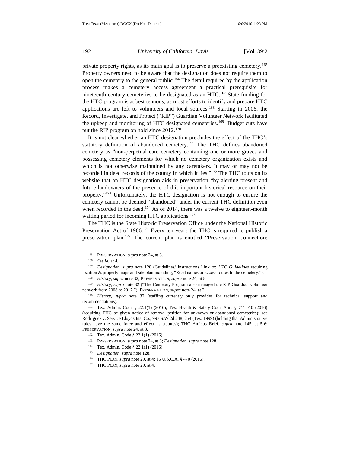private property rights, as its main goal is to preserve a preexisting cemetery.<sup>165</sup> Property owners need to be aware that the designation does not require them to open the cemetery to the general public.<sup>166</sup> The detail required by the application process makes a cemetery access agreement a practical prerequisite for nineteenth-century cemeteries to be designated as an HTC.<sup>167</sup> State funding for the HTC program is at best tenuous, as most efforts to identify and prepare HTC

applications are left to volunteers and local sources.<sup>168</sup> Starting in 2006, the Record, Investigate, and Protect ("RIP") Guardian Volunteer Network facilitated the upkeep and monitoring of HTC designated cemeteries.<sup>169</sup> Budget cuts have put the RIP program on hold since 2012.<sup>170</sup>

It is not clear whether an HTC designation precludes the effect of the THC's statutory definition of abandoned cemetery.<sup>171</sup> The THC defines abandoned cemetery as "non-perpetual care cemetery containing one or more graves and possessing cemetery elements for which no cemetery organization exists and which is not otherwise maintained by any caretakers. It may or may not be recorded in deed records of the county in which it lies."<sup>172</sup> The THC touts on its website that an HTC designation aids in preservation "by alerting present and future landowners of the presence of this important historical resource on their property."<sup>173</sup> Unfortunately, the HTC designation is not enough to ensure the cemetery cannot be deemed "abandoned" under the current THC definition even when recorded in the deed.<sup>174</sup> As of 2014, there was a twelve to eighteen-month waiting period for incoming HTC applications.<sup>175</sup>

The THC is the State Historic Preservation Office under the National Historic Preservation Act of 1966.<sup>176</sup> Every ten years the THC is required to publish a preservation plan.<sup>177</sup> The current plan is entitled "Preservation Connection:

<sup>165</sup> PRESERVATION, *supra* note 24, at 3.

<sup>166</sup> *See id.* at 4*.*

<sup>167</sup> *Designation*, *supra* note 128 (Guidelines/ Instructions Link to: *HTC Guidelines* requiring location & property maps and site plan including, "Road names or access routes to the cemetery."). <sup>168</sup> *History*, *supra* note 32; PRESERVATION, *supra* note 24, at 8.

<sup>169</sup> *History*, *supra* note 32 ("The Cemetery Program also managed the RIP Guardian volunteer network from 2006 to 2012."); PRESERVATION, *supra* note 24, at 3.

<sup>170</sup> *History*, *supra* note 32 (staffing currently only provides for technical support and recommendations).

<sup>171</sup> Tex. Admin. Code § 22.1(1) (2016); Tex. Health & Safety Code Ann. § 711.010 (2016) (requiring THC be given notice of removal petition for unknown or abandoned cemeteries); *see* Rodriguez v. Service Lloyds Ins. Co., 997 S.W.2d 248, 254 (Tex. 1999) (holding that Administrative rules have the same force and effect as statutes); THC Amicus Brief, *supra* note 145, at 5-6; PRESERVATION, *supra* note 24, at 3.

<sup>172</sup> Tex. Admin. Code § 22.1(1) (2016).

<sup>173</sup> PRESERVATION, *supra* note 24, at 3; *Designation, supra* note 128.

<sup>174</sup> Tex. Admin. Code § 22.1(1) (2016).

<sup>175</sup> *Designation, supra* note 128.

<sup>176</sup> THC PLAN, *supra* note 29, at 4; 16 U.S.C.A. § 470 (2016).

<sup>177</sup> THC PLAN, *supra* note 29, at 4.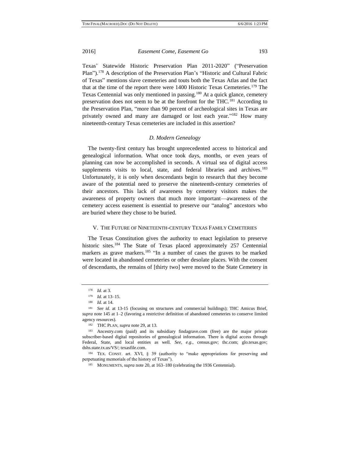Texas' Statewide Historic Preservation Plan 2011-2020" ("Preservation Plan").<sup>178</sup> A description of the Preservation Plan's "Historic and Cultural Fabric of Texas" mentions slave cemeteries and touts both the Texas Atlas and the fact that at the time of the report there were 1400 Historic Texas Cemeteries.<sup>179</sup> The Texas Centennial was only mentioned in passing.<sup>180</sup> At a quick glance, cemetery preservation does not seem to be at the forefront for the THC.<sup>181</sup> According to the Preservation Plan, "more than 90 percent of archeological sites in Texas are privately owned and many are damaged or lost each year."<sup>182</sup> How many nineteenth-century Texas cemeteries are included in this assertion?

### *D. Modern Genealogy*

The twenty-first century has brought unprecedented access to historical and genealogical information. What once took days, months, or even years of planning can now be accomplished in seconds. A virtual sea of digital access supplements visits to local, state, and federal libraries and archives.<sup>183</sup> Unfortunately, it is only when descendants begin to research that they become aware of the potential need to preserve the nineteenth-century cemeteries of their ancestors. This lack of awareness by cemetery visitors makes the awareness of property owners that much more important—awareness of the cemetery access easement is essential to preserve our "analog" ancestors who are buried where they chose to be buried.

#### V. THE FUTURE OF NINETEENTH-CENTURY TEXAS FAMILY CEMETERIES

The Texas Constitution gives the authority to enact legislation to preserve historic sites.<sup>184</sup> The State of Texas placed approximately 257 Centennial markers as grave markers.<sup>185</sup> "In a number of cases the graves to be marked were located in abandoned cemeteries or other desolate places. With the consent of descendants, the remains of [thirty two] were moved to the State Cemetery in

<sup>178</sup> *Id.* at 3.

<sup>179</sup> *Id.* at 13–15.

<sup>180</sup> *Id.* at 14.

<sup>&</sup>lt;sup>181</sup> *See id.* at 13-15 (focusing on structures and commercial buildings); THC Amicus Brief, *supra* note 145 at 1–2 (favoring a restrictive definition of abandoned cemeteries to conserve limited agency resources).

<sup>182</sup> THC PLAN, *supra* note 29, at 13.

<sup>183</sup> Ancestry.com (paid) and its subsidiary findagrave.com (free) are the major private subscriber-based digital repositories of genealogical information. There is digital access through Federal, State, and local entities as well. *See, e.g*., census.gov; thc.com; glo.texas.gov; dshs.state.tx.us/VS/; texasfile.com.

<sup>184</sup> TEX. CONST. art. XVI, § 39 (authority to "make appropriations for preserving and perpetuating memorials of the history of Texas").

<sup>185</sup> MONUMENTS, *supra* note 20, at 163–180 (celebrating the 1936 Centennial).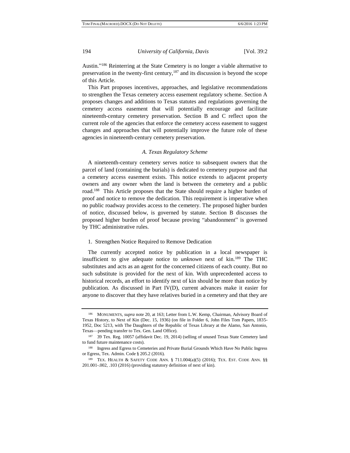Austin."<sup>186</sup> Reinterring at the State Cemetery is no longer a viable alternative to preservation in the twenty-first century,<sup>187</sup> and its discussion is beyond the scope of this Article.

This Part proposes incentives, approaches, and legislative recommendations to strengthen the Texas cemetery access easement regulatory scheme. Section A proposes changes and additions to Texas statutes and regulations governing the cemetery access easement that will potentially encourage and facilitate nineteenth-century cemetery preservation. Section B and C reflect upon the current role of the agencies that enforce the cemetery access easement to suggest changes and approaches that will potentially improve the future role of these agencies in nineteenth-century cemetery preservation.

#### *A. Texas Regulatory Scheme*

A nineteenth-century cemetery serves notice to subsequent owners that the parcel of land (containing the burials) is dedicated to cemetery purpose and that a cemetery access easement exists. This notice extends to adjacent property owners and any owner when the land is between the cemetery and a public road.<sup>188</sup> This Article proposes that the State should require a higher burden of proof and notice to remove the dedication. This requirement is imperative when no public roadway provides access to the cemetery. The proposed higher burden of notice, discussed below, is governed by statute. Section B discusses the proposed higher burden of proof because proving "abandonment" is governed by THC administrative rules.

#### 1. Strengthen Notice Required to Remove Dedication

The currently accepted notice by publication in a local newspaper is insufficient to give adequate notice to *unknown* next of kin.<sup>189</sup> The THC substitutes and acts as an agent for the concerned citizens of each county. But no such substitute is provided for the next of kin. With unprecedented access to historical records, an effort to identify next of kin should be more than notice by publication. As discussed in Part IV(D), current advances make it easier for anyone to discover that they have relatives buried in a cemetery and that they are

<sup>186</sup> MONUMENTS, *supra* note 20, at 163; Letter from L.W. Kemp, Chairman, Advisory Board of Texas History, to Next of Kin (Dec. 15, 1936) (on file in Folder 6, John Files Tom Papers, 1835- 1952, Doc 5213, with The Daughters of the Republic of Texas Library at the Alamo, San Antonio, Texas—pending transfer to Tex. Gen. Land Office).

<sup>187</sup> 39 Tex. Reg. 10057 (affidavit Dec. 19, 2014) (selling of unused Texas State Cemetery land to fund future maintenance costs).

<sup>188</sup> Ingress and Egress to Cemeteries and Private Burial Grounds Which Have No Public Ingress or Egress, Tex. Admin. Code § 205.2 (2016).

<sup>189</sup> TEX. HEALTH & SAFETY CODE ANN. § 711.004(a)(5) (2016); TEX. EST. CODE ANN. §§ 201.001-.002, .103 (2016) (providing statutory definition of next of kin).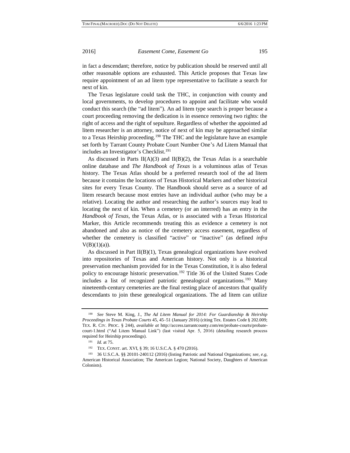in fact a descendant; therefore, notice by publication should be reserved until all other reasonable options are exhausted. This Article proposes that Texas law require appointment of an ad litem type representative to facilitate a search for next of kin.

The Texas legislature could task the THC, in conjunction with county and local governments, to develop procedures to appoint and facilitate who would conduct this search (the "ad litem"). An ad litem type search is proper because a court proceeding removing the dedication is in essence removing two rights: the right of access and the right of sepulture. Regardless of whether the appointed ad litem researcher is an attorney, notice of next of kin may be approached similar to a Texas Heirship proceeding.<sup>190</sup> The THC and the legislature have an example set forth by Tarrant County Probate Court Number One's Ad Litem Manual that includes an Investigator's Checklist.<sup>191</sup>

As discussed in Parts  $II(A)(3)$  and  $II(B)(2)$ , the Texas Atlas is a searchable online database and *The Handbook of Texas* is a voluminous atlas of Texas history. The Texas Atlas should be a preferred research tool of the ad litem because it contains the locations of Texas Historical Markers and other historical sites for every Texas County. The Handbook should serve as a source of ad litem research because most entries have an individual author (who may be a relative). Locating the author and researching the author's sources may lead to locating the next of kin. When a cemetery (or an interred) has an entry in the *Handbook of Texas*, the Texas Atlas, or is associated with a Texas Historical Marker, this Article recommends treating this as evidence a cemetery is not abandoned and also as notice of the cemetery access easement, regardless of whether the cemetery is classified "active" or "inactive" (as defined *infra*   $V(B)(1)(a)$ ).

As discussed in Part II(B)(1), Texas genealogical organizations have evolved into repositories of Texas and American history. Not only is a historical preservation mechanism provided for in the Texas Constitution, it is also federal policy to encourage historic preservation.<sup>192</sup> Title 36 of the United States Code includes a list of recognized patriotic genealogical organizations.<sup>193</sup> Many nineteenth-century cemeteries are the final resting place of ancestors that qualify descendants to join these genealogical organizations. The ad litem can utilize

<sup>190</sup> *See* Steve M. King, J., *The Ad Litem Manual for 2014: For Guardianship & Heirship Proceedings in Texas Probate Courts* 45, 45–51 (January 2016) (citing Tex. Estates Code § 202.009; TEX. R. CIV. PROC. § 244), *available at* http://access.tarrantcounty.com/en/probate-courts/probatecourt-1.html ("Ad Litem Manual Link") (last visited Apr. 5, 2016) (detailing research process required for Heirship proceedings).

<sup>191</sup> *Id.* at 75.

<sup>192</sup> TEX. CONST. art. XVI, § 39; 16 U.S.C.A. § 470 (2016).

<sup>193</sup> 36 U.S.C.A. §§ 20101-240112 (2016) (listing Patriotic and National Organizations; *see, e.g*, American Historical Association; The American Legion; National Society, Daughters of American Colonists).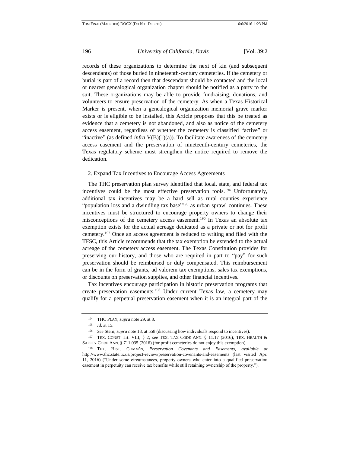records of these organizations to determine the next of kin (and subsequent descendants) of those buried in nineteenth-century cemeteries. If the cemetery or burial is part of a record then that descendant should be contacted and the local or nearest genealogical organization chapter should be notified as a party to the suit. These organizations may be able to provide fundraising, donations, and volunteers to ensure preservation of the cemetery. As when a Texas Historical Marker is present, when a genealogical organization memorial grave marker exists or is eligible to be installed, this Article proposes that this be treated as evidence that a cemetery is not abandoned, and also as notice of the cemetery access easement, regardless of whether the cemetery is classified "active" or "inactive" (as defined *infra*  $V(B)(1)(a)$ ). To facilitate awareness of the cemetery access easement and the preservation of nineteenth-century cemeteries, the Texas regulatory scheme must strengthen the notice required to remove the dedication.

#### 2. Expand Tax Incentives to Encourage Access Agreements

The THC preservation plan survey identified that local, state, and federal tax incentives could be the most effective preservation tools.<sup>194</sup> Unfortunately, additional tax incentives may be a hard sell as rural counties experience "population loss and a dwindling tax base"<sup>195</sup> as urban sprawl continues. These incentives must be structured to encourage property owners to change their misconceptions of the cemetery access easement.<sup>196</sup> In Texas an absolute tax exemption exists for the actual acreage dedicated as a private or not for profit cemetery.<sup>197</sup> Once an access agreement is reduced to writing and filed with the TFSC, this Article recommends that the tax exemption be extended to the actual acreage of the cemetery access easement. The Texas Constitution provides for preserving our history, and those who are required in part to "pay" for such preservation should be reimbursed or duly compensated. This reimbursement can be in the form of grants, ad valorem tax exemptions, sales tax exemptions, or discounts on preservation supplies, and other financial incentives.

Tax incentives encourage participation in historic preservation programs that create preservation easements.<sup>198</sup> Under current Texas law, a cemetery may qualify for a perpetual preservation easement when it is an integral part of the

<sup>194</sup> THC PLAN, *supra* note 29, at 8.

<sup>195</sup> *Id.* at 15.

<sup>196</sup> *See* Stern, *supra* note 18, at 558 (discussing how individuals respond to incentives).

<sup>197</sup> TEX. CONST. art. VIII, § 2; *see* TEX. TAX CODE ANN. § 11.17 (2016); TEX. HEALTH & SAFETY CODE ANN. § 711.035 (2016) (for profit cemeteries do not enjoy this exemption).

<sup>198</sup> TEX. HIST. COMM'N, *Preservation Covenants and Easements*, *available at*  http://www.thc.state.tx.us/project-review/preservation-covenants-and-easements (last visited Apr. 11, 2016) ("Under some circumstances, property owners who enter into a qualified preservation easement in perpetuity can receive tax benefits while still retaining ownership of the property.").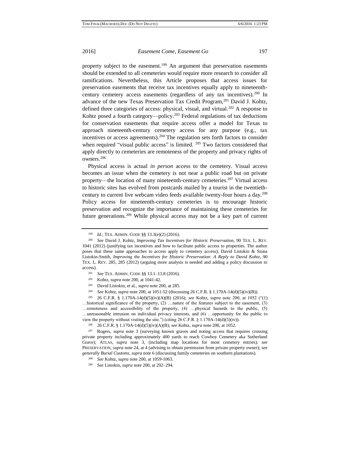property subject to the easement.<sup>199</sup> An argument that preservation easements should be extended to all cemeteries would require more research to consider all ramifications. Nevertheless, this Article proposes that access issues for preservation easements that receive tax incentives equally apply to nineteenthcentury cemetery access easements (regardless of any tax incentives).<sup>200</sup> In advance of the new Texas Preservation Tax Credit Program,<sup>201</sup> David J. Kohtz, defined three categories of access: physical, visual, and virtual.<sup>202</sup> A response to Kohtz posed a fourth category—policy.<sup>203</sup> Federal regulations of tax deductions for conservation easements that require access offer a model for Texas to approach nineteenth-century cemetery access for any purpose (e.g., tax incentives or access agreements).<sup>204</sup> The regulation sets forth factors to consider when required "visual public access" is limited. <sup>205</sup> Two factors considered that apply directly to cemeteries are remoteness of the property and privacy rights of owners.<sup>206</sup>

Physical access is actual *in person* access to the cemetery. Visual access becomes an issue when the cemetery is not near a public road but on private property—the location of many nineteenth-century cemeteries.<sup>207</sup> Virtual access to historic sites has evolved from postcards mailed by a tourist in the twentiethcentury to current live webcam video feeds available twenty-four hours a day.<sup>208</sup> Policy access for nineteenth-century cemeteries is to encourage historic preservation and recognize the importance of maintaining these cemeteries for future generations.<sup>209</sup> While physical access may not be a key part of current

<sup>199</sup> *Id.*; TEX. ADMIN. CODE §§ 13.3(e)(2) (2016).

<sup>200</sup> *See* David J. Kohtz, *Improving Tax Incentives for Historic Preservation*, 90 TEX. L. REV. 1041 (2012) (justifying tax incentives and how to facilitate public access to properties. The author poses that these same approaches to access apply to cemetery access); David Listokin & Siona Listokin-Smith, *Improving the Incentives for Historic Preservation: A Reply to David Kohtz*, 90 TEX. L. REV. 285, 285 (2012) (arguing more analysis is needed and adding a policy discussion to access).

<sup>201</sup> *See* TEX. ADMIN. CODE §§ 13.1–13.8 (2016).

<sup>202</sup> Kohtz, *supra* note 200, at 1041-42.

<sup>203</sup> David Listokin, et al., *supra* note 200, at 285.

<sup>204</sup> *See* Kohtz, *supra* note 200, at 1051-52 (discussing 26 C.F.R. § 1.170A-14(d)(5)(iv)(B)).

<sup>205</sup> 26 C.F.R. § 1.170A-14(d)(5)(iv)(A)(B) (2016); *see* Kohtz, *supra* note 200, at 1052 ("(1) …historical significance of the property, (2) …nature of the features subject to the easement, (3) …remoteness and accessibility of the property, (4) …physical hazards to the public, (5) …unreasonable intrusion on individual privacy interests, and (6) …opportunity for the public to view the property without visiting the site.") (citing  $26$  C.F.R. § 1.170A-14(d)(5)(iv)).

<sup>206</sup> 26 C.F.R. § 1.170A-14(d)(5)(iv)(A)(B); *see* Kohtz, *supra* note 200, at 1052.

<sup>207</sup> Rogers, *supra* note 3 (surveying known graves and noting access that requires crossing private property including approximately 400 yards to reach Cowboy Cemetery aka Sutherland Grave); ATLAS, *supra* note 3, (including map locations for most cemetery entries); *see*  PRESERVATION, *supra* note 24, at 4 (advising to obtain permission from private property owner); *see generally Burial Customs*, *supra* note 6 (discussing family cemeteries on southern plantations).

<sup>208</sup> *See* Kohtz, *supra* note 200, at 1059-1063.

<sup>209</sup> *See* Listokin, *supra* note 200, at 292–294.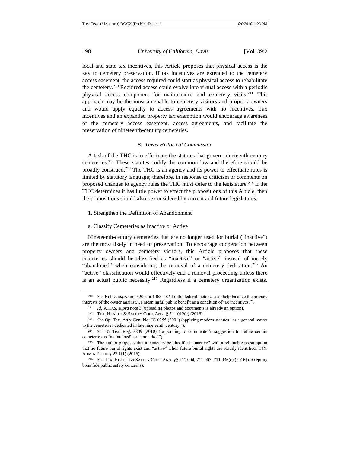local and state tax incentives, this Article proposes that physical access is the key to cemetery preservation. If tax incentives are extended to the cemetery access easement, the access required could start as physical access to rehabilitate the cemetery.<sup>210</sup> Required access could evolve into virtual access with a periodic physical access component for maintenance and cemetery visits.<sup>211</sup> This approach may be the most amenable to cemetery visitors and property owners and would apply equally to access agreements with no incentives. Tax incentives and an expanded property tax exemption would encourage awareness of the cemetery access easement, access agreements, and facilitate the preservation of nineteenth-century cemeteries.

#### *B. Texas Historical Commission*

A task of the THC is to effectuate the statutes that govern nineteenth-century cemeteries.<sup>212</sup> These statutes codify the common law and therefore should be broadly construed.<sup>213</sup> The THC is an agency and its power to effectuate rules is limited by statutory language; therefore, in response to criticism or comments on proposed changes to agency rules the THC must defer to the legislature.<sup>214</sup> If the THC determines it has little power to effect the propositions of this Article, then the propositions should also be considered by current and future legislatures.

1. Strengthen the Definition of Abandonment

#### a. Classify Cemeteries as Inactive or Active

Nineteenth-century cemeteries that are no longer used for burial ("inactive") are the most likely in need of preservation. To encourage cooperation between property owners and cemetery visitors, this Article proposes that these cemeteries should be classified as "inactive" or "active" instead of merely "abandoned" when considering the removal of a cemetery dedication.<sup>215</sup> An "active" classification would effectively end a removal proceeding unless there is an actual public necessity.<sup>216</sup> Regardless if a cemetery organization exists,

<sup>210</sup> *See* Kohtz, *supra* note 200, at 1063–1064 ("the federal factors…can help balance the privacy interests of the owner against…a meaningful public benefit as a condition of tax incentives.").

<sup>211</sup> *Id;* ATLAS, *supra* note 3 (uploading photos and documents is already an option).

<sup>212</sup> TEX. HEALTH & SAFETY CODE ANN. § 711.012(c) (2016).

<sup>213</sup> *See* Op. Tex. Att'y Gen. No. JC-0355 (2001) (applying modern statutes "as a general matter to the cemeteries dedicated in late nineteenth century.").

<sup>214</sup> *See* 35 Tex. Reg. 3809 (2010) (responding to commenter's suggestion to define certain cemeteries as "maintained" or "unmarked").

<sup>215</sup> The author proposes that a cemetery be classified "inactive" with a rebuttable presumption that no future burial rights exist and "active" when future burial rights are readily identified; TEX. ADMIN. CODE § 22.1(1) (2016).

<sup>216</sup> *See* TEX. HEALTH & SAFETY CODE ANN. §§ 711.004, 711.007, 711.036(c) (2016) (excepting bona fide public safety concerns).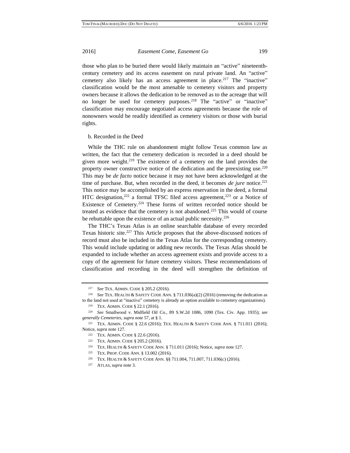those who plan to be buried there would likely maintain an "active" nineteenthcentury cemetery and its access easement on rural private land. An "active" cemetery also likely has an access agreement in place.<sup>217</sup> The "inactive" classification would be the most amenable to cemetery visitors and property owners because it allows the dedication to be removed as to the acreage that will no longer be used for cemetery purposes.<sup>218</sup> The "active" or "inactive" classification may encourage negotiated access agreements because the role of nonowners would be readily identified as cemetery visitors or those with burial rights.

b. Recorded in the Deed

While the THC rule on abandonment might follow Texas common law as written, the fact that the cemetery dedication is recorded in a deed should be given more weight.<sup>219</sup> The existence of a cemetery on the land provides the property owner constructive notice of the dedication and the preexisting use.<sup>220</sup> This may be *de facto* notice because it may not have been acknowledged at the time of purchase. But, when recorded in the deed, it becomes *de jure* notice.<sup>221</sup> This notice may be accomplished by an express reservation in the deed, a formal HTC designation,  $222$  a formal TFSC filed access agreement,  $223$  or a Notice of Existence of Cemetery.<sup>224</sup> These forms of written recorded notice should be treated as evidence that the cemetery is not abandoned.<sup>225</sup> This would of course be rebuttable upon the existence of an actual public necessity.<sup>226</sup>

The THC's Texas Atlas is an online searchable database of every recorded Texas historic site.<sup>227</sup> This Article proposes that the above-discussed notices of record must also be included in the Texas Atlas for the corresponding cemetery. This would include updating or adding new records. The Texas Atlas should be expanded to include whether an access agreement exists and provide access to a copy of the agreement for future cemetery visitors. These recommendations of classification and recording in the deed will strengthen the definition of

<sup>217</sup> *See* TEX. ADMIN. CODE § 205.2 (2016).

<sup>218</sup> *See* TEX. HEALTH & SAFETY CODE ANN. § 711.036(a)(2) (2016) (removing the dedication as to the land not used at "inactive" cemetery is already an option available to cemetery organizations).

<sup>219</sup> TEX. ADMIN. CODE § 22.1 (2016).

<sup>220</sup> *See* Smallwood v. Midfield Oil Co., 89 S.W.2d 1086, 1090 (Tex. Civ. App. 1935); *see generally Cemeteries*, *supra* note 57, at § 1.

<sup>221</sup> TEX. ADMIN. CODE § 22.6 (2016); TEX. HEALTH & SAFETY CODE ANN. § 711.011 (2016); Notice, *supra* note 127.

<sup>222</sup> TEX. ADMIN. CODE § 22.6 (2016).

<sup>223</sup> TEX. ADMIN. CODE § 205.2 (2016).

<sup>224</sup> TEX. HEALTH & SAFETY CODE ANN. § 711.011 (2016); Notice, *supra* note 127.

<sup>225</sup> TEX. PROP. CODE ANN. § 13.002 (2016).

<sup>226</sup> TEX. HEALTH & SAFETY CODE ANN. §§ 711.004, 711.007, 711.036(c) (2016).

<sup>227</sup> ATLAS, *supra* note 3.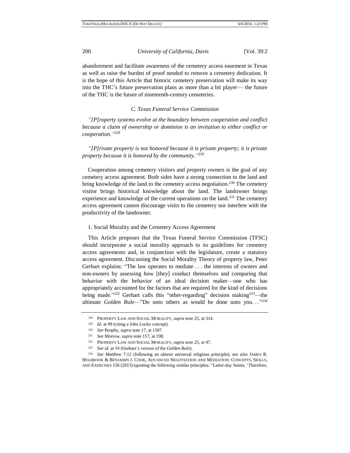abandonment and facilitate awareness of the cemetery access easement in Texas as well as raise the burden of proof needed to remove a cemetery dedication. It is the hope of this Article that historic cemetery preservation will make its way into the THC's future preservation plans as more than a bit player–– the future of the THC is the future of nineteenth-century cemeteries.

# *C. Texas Funeral Service Commission*

*"[P]roperty systems evolve at the boundary between cooperation and conflict because a claim of ownership or dominion is an invitation to either conflict or cooperation."* 228

*"[P]rivate property is not honored because it is private property; it is private property because it is honored by the community."* 229

Cooperation among cemetery visitors and property owners is the goal of any cemetery access agreement. Both sides have a strong connection to the land and bring knowledge of the land to the cemetery access negotiation.<sup>230</sup> The cemetery visitor brings historical knowledge about the land. The landowner brings experience and knowledge of the current operations on the land.<sup>231</sup> The cemetery access agreement cannot discourage visits to the cemetery nor interfere with the productivity of the landowner.

#### 1. Social Morality and the Cemetery Access Agreement

This Article proposes that the Texas Funeral Service Commission (TFSC) should incorporate a social morality approach to its guidelines for cemetery access agreements and, in conjunction with the legislature, create a statutory access agreement. Discussing the Social Morality Theory of property law, Peter Gerhart explains: "The law operates to mediate . . . the interests of owners and non-owners by assessing how [they] conduct themselves and comparing that behavior with the behavior of an ideal decision maker—one who has appropriately accounted for the factors that are required for the kind of decisions being made.<sup>323</sup> Gerhart calls this "other-regarding" decision making<sup>233</sup>—the ultimate *Golden Rule*—"Do unto others as would be done unto you..."<sup>234</sup>

<sup>228</sup> PROPERTY LAW AND SOCIAL MORALITY, *supra* note 25, at 314.

<sup>229</sup> *Id.* at 99 (citing a John Locke concept).

<sup>230</sup> *See* Brophy, *supra* note 17, at 1507.

<sup>231</sup> *See* Morrow, *supra* note 157, at 198.

<sup>232</sup> PROPERTY LAW AND SOCIAL MORALITY, *supra* note 25, at 47.

<sup>233</sup> *See id.* at 54 (Gerhart's version of the *Golden Rule*).

<sup>234</sup> *See Matthew* 7:12 (following an almost universal religious principle); *see also* JAMES R. HOLBROOK & BENJAMIN J. COOK, ADVANCED NEGOTIATION AND MEDIATION: CONCEPTS, SKILLS, AND EXERCISES 156 (2013) (quoting the following similar principles: "Latter-day Saints, 'Therefore,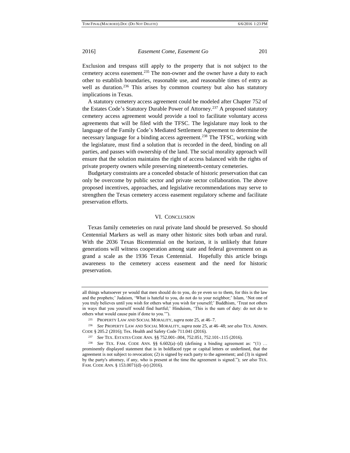Exclusion and trespass still apply to the property that is not subject to the cemetery access easement.<sup>235</sup> The non-owner and the owner have a duty to each other to establish boundaries, reasonable use, and reasonable times of entry as well as duration.<sup>236</sup> This arises by common courtesy but also has statutory implications in Texas.

A statutory cemetery access agreement could be modeled after Chapter 752 of the Estates Code's Statutory Durable Power of Attorney.<sup>237</sup> A proposed statutory cemetery access agreement would provide a tool to facilitate voluntary access agreements that will be filed with the TFSC. The legislature may look to the language of the Family Code's Mediated Settlement Agreement to determine the necessary language for a binding access agreement.<sup>238</sup> The TFSC, working with the legislature, must find a solution that is recorded in the deed, binding on all parties, and passes with ownership of the land. The social morality approach will ensure that the solution maintains the right of access balanced with the rights of private property owners while preserving nineteenth-century cemeteries.

Budgetary constraints are a conceded obstacle of historic preservation that can only be overcome by public sector and private sector collaboration. The above proposed incentives, approaches, and legislative recommendations may serve to strengthen the Texas cemetery access easement regulatory scheme and facilitate preservation efforts.

### VI. CONCLUSION

Texas family cemeteries on rural private land should be preserved. So should Centennial Markers as well as many other historic sites both urban and rural. With the 2036 Texas Bicentennial on the horizon, it is unlikely that future generations will witness cooperation among state and federal government on as grand a scale as the 1936 Texas Centennial. Hopefully this article brings awareness to the cemetery access easement and the need for historic preservation.

all things whatsoever ye would that men should do to you, do ye even so to them, for this is the law and the prophets;' Judaism, 'What is hateful to you, do not do to your neighbor;' Islam, 'Not one of you truly believes until you wish for others what you wish for yourself;' Buddhism, 'Treat not others in ways that you yourself would find hurtful;' Hinduism, 'This is the sum of duty: do not do to others what would cause pain if done to you.'").

<sup>235</sup> PROPERTY LAW AND SOCIAL MORALITY, *supra* note 25, at 46–7.

<sup>236</sup> *See* PROPERTY LAW AND SOCIAL MORALITY, *supra* note 25, at 46–48; *see also* TEX. ADMIN. CODE § 205.2 (2016); Tex. Health and Safety Code 711.041 (2016).

<sup>237</sup> *See* TEX. ESTATES CODE ANN. §§ 752.001-.004, 752.051, 752.101-.115 (2016).

<sup>238</sup> *See* TEX. FAM. CODE ANN. §§ 6.602(a)–(d) (defining a binding agreement as: "(1) … prominently displayed statement that is in boldfaced type or capital letters or underlined, that the agreement is not subject to revocation; (2) is signed by each party to the agreement; and (3) is signed by the party's attorney, if any, who is present at the time the agreement is signed."); *see also* TEX. FAM. CODE ANN. § 153.0071(d)–(e) (2016).